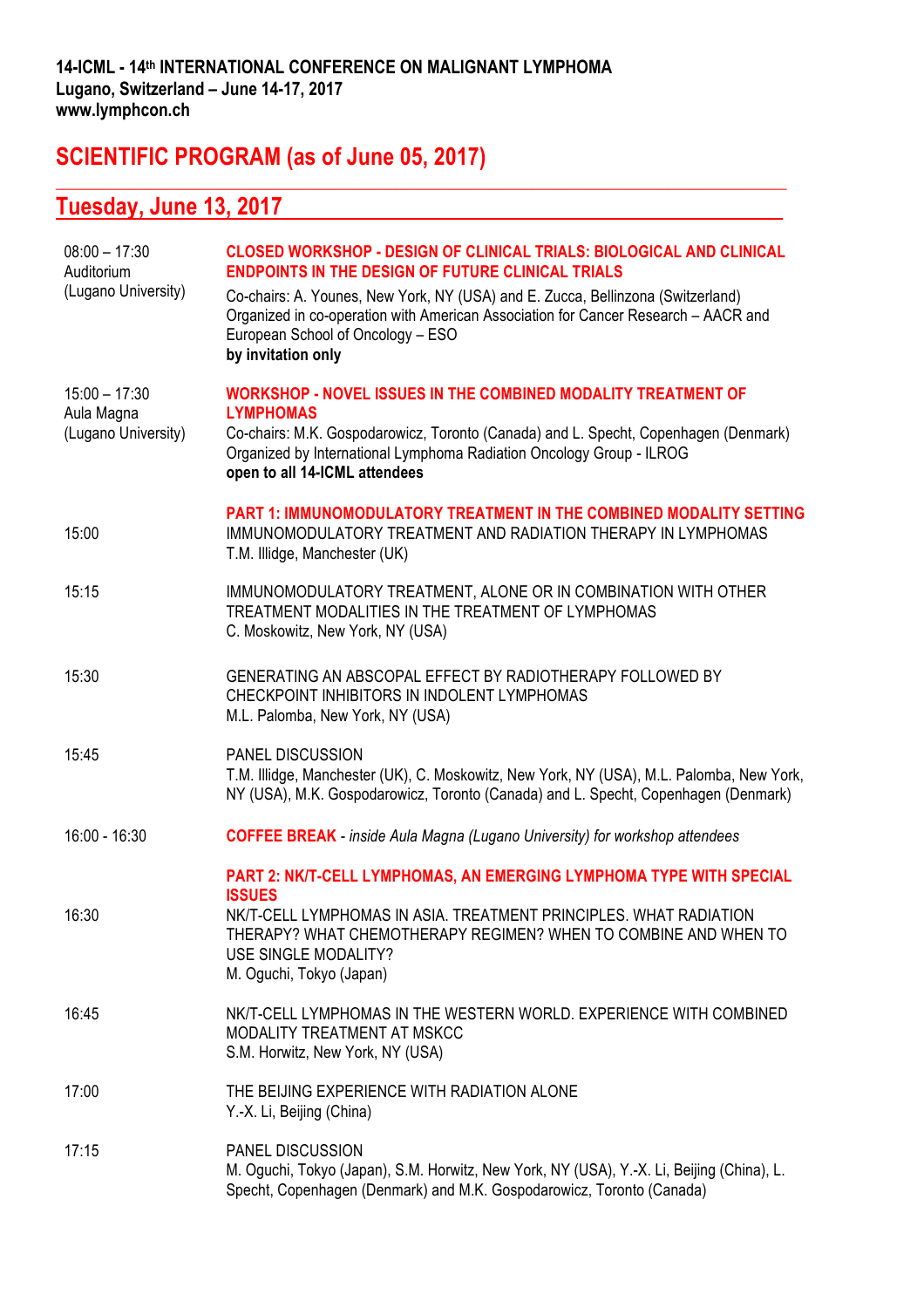**\_\_\_\_\_\_\_\_\_\_\_\_\_\_\_\_\_\_\_\_\_\_\_\_\_\_\_\_\_\_\_\_\_\_\_\_\_\_\_\_\_\_\_\_\_\_\_\_\_\_\_\_\_\_\_\_\_\_\_\_\_\_\_\_\_\_\_\_\_\_\_\_\_\_\_\_\_\_\_\_\_\_\_\_\_\_**

### **SCIENTIFIC PROGRAM (as of June 05, 2017)**

## **Tuesday, June 13, 2017**

| $08:00 - 17:30$<br>Auditorium<br>(Lugano University) | <b>CLOSED WORKSHOP - DESIGN OF CLINICAL TRIALS: BIOLOGICAL AND CLINICAL</b><br><b>ENDPOINTS IN THE DESIGN OF FUTURE CLINICAL TRIALS</b><br>Co-chairs: A. Younes, New York, NY (USA) and E. Zucca, Bellinzona (Switzerland)<br>Organized in co-operation with American Association for Cancer Research - AACR and<br>European School of Oncology - ESO<br>by invitation only |
|------------------------------------------------------|-----------------------------------------------------------------------------------------------------------------------------------------------------------------------------------------------------------------------------------------------------------------------------------------------------------------------------------------------------------------------------|
| $15:00 - 17:30$<br>Aula Magna<br>(Lugano University) | <b>WORKSHOP - NOVEL ISSUES IN THE COMBINED MODALITY TREATMENT OF</b><br><b>LYMPHOMAS</b><br>Co-chairs: M.K. Gospodarowicz, Toronto (Canada) and L. Specht, Copenhagen (Denmark)<br>Organized by International Lymphoma Radiation Oncology Group - ILROG<br>open to all 14-ICML attendees                                                                                    |
| 15:00                                                | <b>PART 1: IMMUNOMODULATORY TREATMENT IN THE COMBINED MODALITY SETTING</b><br>IMMUNOMODULATORY TREATMENT AND RADIATION THERAPY IN LYMPHOMAS<br>T.M. Illidge, Manchester (UK)                                                                                                                                                                                                |
| 15:15                                                | IMMUNOMODULATORY TREATMENT, ALONE OR IN COMBINATION WITH OTHER<br>TREATMENT MODALITIES IN THE TREATMENT OF LYMPHOMAS<br>C. Moskowitz, New York, NY (USA)                                                                                                                                                                                                                    |
| 15:30                                                | GENERATING AN ABSCOPAL EFFECT BY RADIOTHERAPY FOLLOWED BY<br>CHECKPOINT INHIBITORS IN INDOLENT LYMPHOMAS<br>M.L. Palomba, New York, NY (USA)                                                                                                                                                                                                                                |
| 15:45                                                | PANEL DISCUSSION<br>T.M. Illidge, Manchester (UK), C. Moskowitz, New York, NY (USA), M.L. Palomba, New York,<br>NY (USA), M.K. Gospodarowicz, Toronto (Canada) and L. Specht, Copenhagen (Denmark)                                                                                                                                                                          |
| $16:00 - 16:30$                                      | <b>COFFEE BREAK</b> - inside Aula Magna (Lugano University) for workshop attendees                                                                                                                                                                                                                                                                                          |
| 16:30                                                | PART 2: NK/T-CELL LYMPHOMAS, AN EMERGING LYMPHOMA TYPE WITH SPECIAL<br><b>ISSUES</b><br>NK/T-CELL LYMPHOMAS IN ASIA. TREATMENT PRINCIPLES. WHAT RADIATION<br>THERAPY? WHAT CHEMOTHERAPY REGIMEN? WHEN TO COMBINE AND WHEN TO<br>USE SINGLE MODALITY?<br>M. Oguchi, Tokyo (Japan)                                                                                            |
| 16:45                                                | NK/T-CELL LYMPHOMAS IN THE WESTERN WORLD. EXPERIENCE WITH COMBINED<br>MODALITY TREATMENT AT MSKCC<br>S.M. Horwitz, New York, NY (USA)                                                                                                                                                                                                                                       |
| 17:00                                                | THE BEIJING EXPERIENCE WITH RADIATION ALONE<br>Y.-X. Li, Beijing (China)                                                                                                                                                                                                                                                                                                    |
| 17:15                                                | PANEL DISCUSSION<br>M. Oguchi, Tokyo (Japan), S.M. Horwitz, New York, NY (USA), Y.-X. Li, Beijing (China), L.<br>Specht, Copenhagen (Denmark) and M.K. Gospodarowicz, Toronto (Canada)                                                                                                                                                                                      |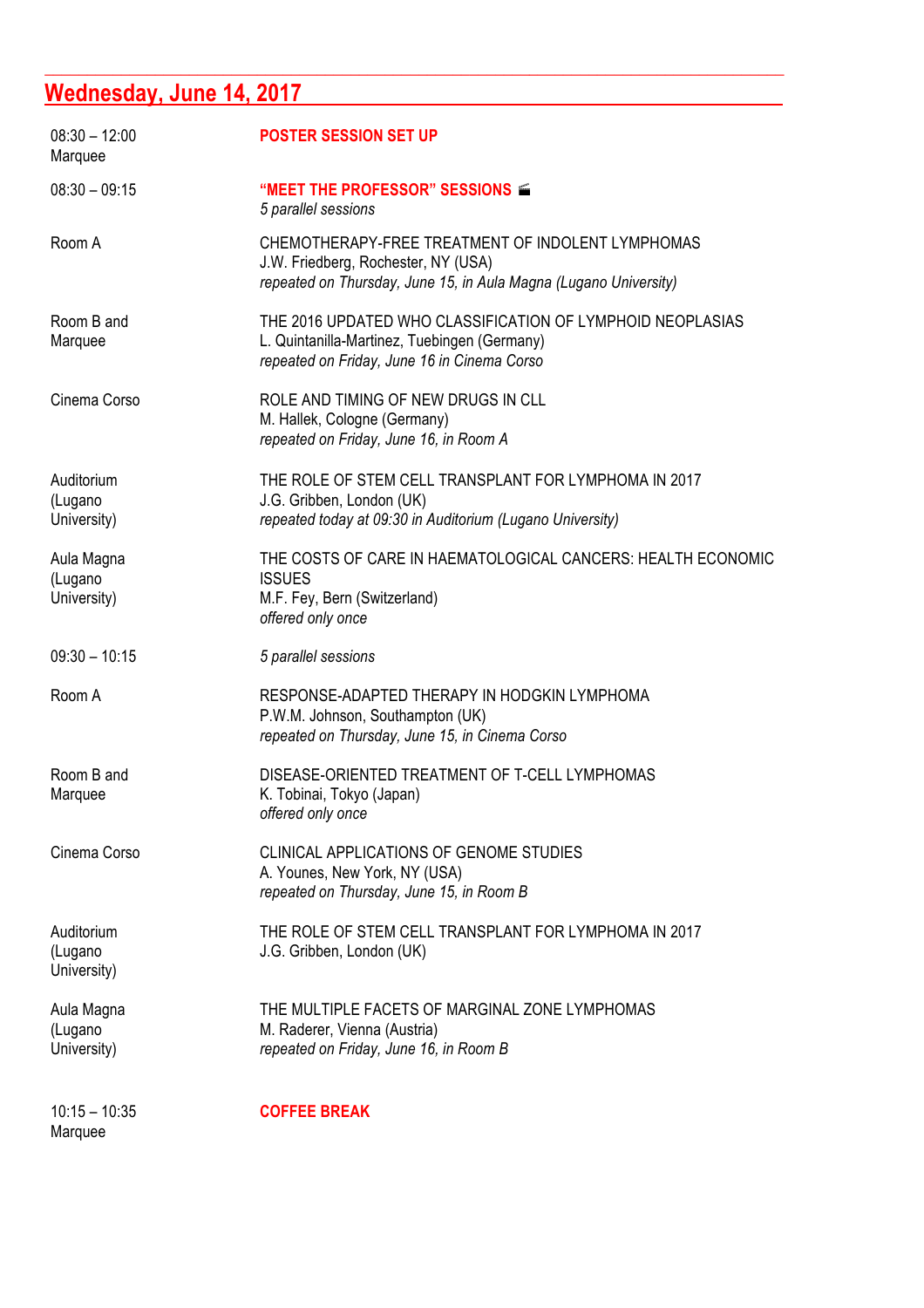# **Wednesday, June 14, 2017**

| $08:30 - 12:00$<br>Marquee           | <b>POSTER SESSION SET UP</b>                                                                                                                                 |
|--------------------------------------|--------------------------------------------------------------------------------------------------------------------------------------------------------------|
| $08:30 - 09:15$                      | "MEET THE PROFESSOR" SESSIONS<br>5 parallel sessions                                                                                                         |
| Room A                               | CHEMOTHERAPY-FREE TREATMENT OF INDOLENT LYMPHOMAS<br>J.W. Friedberg, Rochester, NY (USA)<br>repeated on Thursday, June 15, in Aula Magna (Lugano University) |
| Room B and<br>Marquee                | THE 2016 UPDATED WHO CLASSIFICATION OF LYMPHOID NEOPLASIAS<br>L. Quintanilla-Martinez, Tuebingen (Germany)<br>repeated on Friday, June 16 in Cinema Corso    |
| Cinema Corso                         | ROLE AND TIMING OF NEW DRUGS IN CLL<br>M. Hallek, Cologne (Germany)<br>repeated on Friday, June 16, in Room A                                                |
| Auditorium<br>(Lugano<br>University) | THE ROLE OF STEM CELL TRANSPLANT FOR LYMPHOMA IN 2017<br>J.G. Gribben, London (UK)<br>repeated today at 09:30 in Auditorium (Lugano University)              |
| Aula Magna<br>(Lugano<br>University) | THE COSTS OF CARE IN HAEMATOLOGICAL CANCERS: HEALTH ECONOMIC<br><b>ISSUES</b><br>M.F. Fey, Bern (Switzerland)<br>offered only once                           |
| $09:30 - 10:15$                      | 5 parallel sessions                                                                                                                                          |
| Room A                               | RESPONSE-ADAPTED THERAPY IN HODGKIN LYMPHOMA<br>P.W.M. Johnson, Southampton (UK)<br>repeated on Thursday, June 15, in Cinema Corso                           |
| Room B and<br>Marquee                | DISEASE-ORIENTED TREATMENT OF T-CELL LYMPHOMAS<br>K. Tobinai, Tokyo (Japan)<br>offered only once                                                             |
| Cinema Corso                         | <b>CLINICAL APPLICATIONS OF GENOME STUDIES</b><br>A. Younes, New York, NY (USA)<br>repeated on Thursday, June 15, in Room B                                  |
| Auditorium<br>(Lugano<br>University) | THE ROLE OF STEM CELL TRANSPLANT FOR LYMPHOMA IN 2017<br>J.G. Gribben, London (UK)                                                                           |
| Aula Magna<br>(Lugano<br>University) | THE MULTIPLE FACETS OF MARGINAL ZONE LYMPHOMAS<br>M. Raderer, Vienna (Austria)<br>repeated on Friday, June 16, in Room B                                     |
| $10:15 - 10:35$<br>Marquee           | <b>COFFEE BREAK</b>                                                                                                                                          |

**\_\_\_\_\_\_\_\_\_\_\_\_\_\_\_\_\_\_\_\_\_\_\_\_\_\_\_\_\_\_\_\_\_\_\_\_\_\_\_\_\_\_\_\_\_\_\_\_\_\_\_\_\_\_\_\_\_\_\_\_\_\_\_\_\_\_\_\_\_\_\_\_\_\_\_\_\_\_\_\_\_\_\_\_\_\_\_**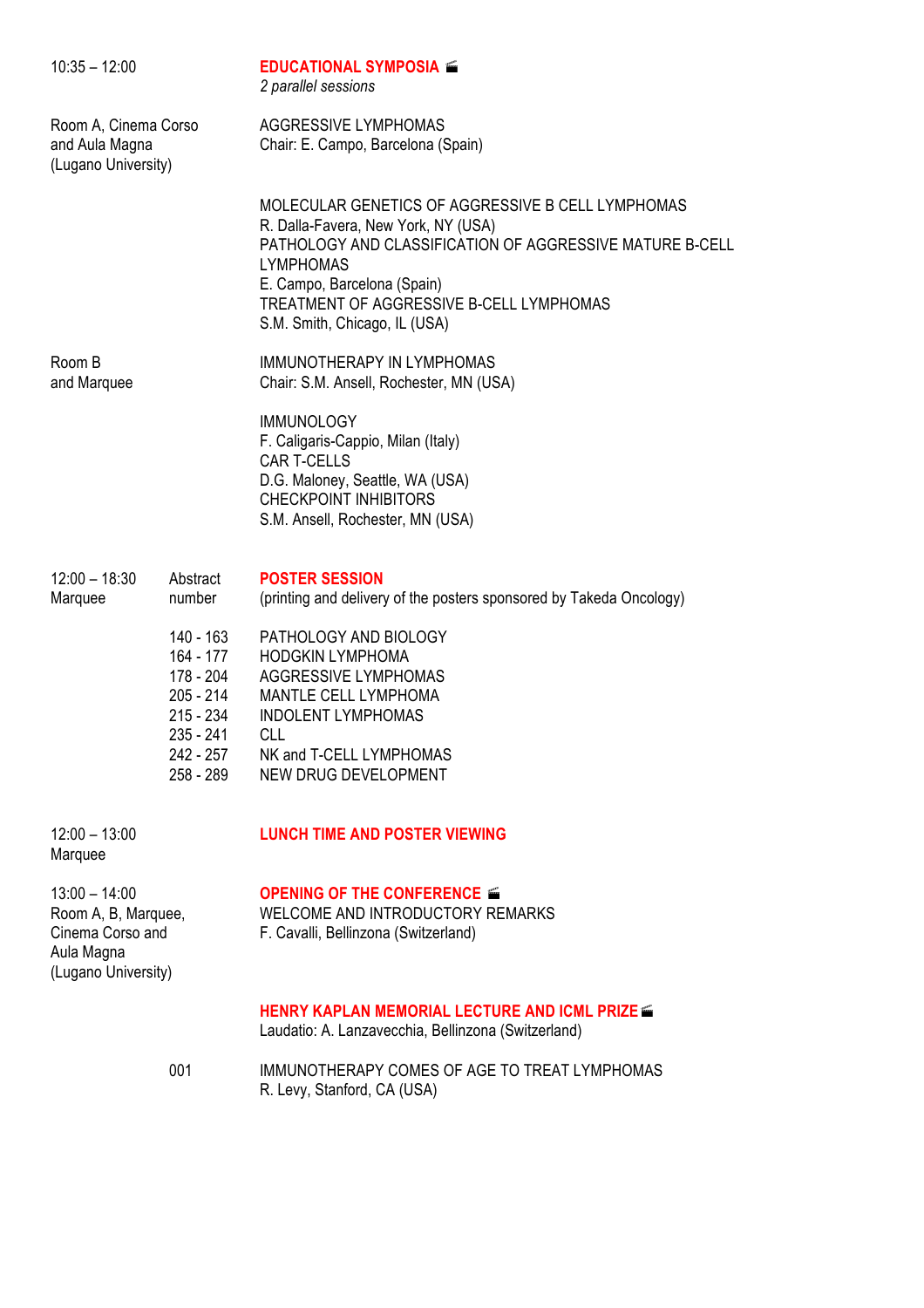| $10:35 - 12:00$                                                                                 |                                                                                                        | <b>EDUCATIONAL SYMPOSIA</b><br>2 parallel sessions                                                                                                                                                                                                                                   |  |  |
|-------------------------------------------------------------------------------------------------|--------------------------------------------------------------------------------------------------------|--------------------------------------------------------------------------------------------------------------------------------------------------------------------------------------------------------------------------------------------------------------------------------------|--|--|
| Room A, Cinema Corso<br>and Aula Magna<br>(Lugano University)                                   |                                                                                                        | AGGRESSIVE LYMPHOMAS<br>Chair: E. Campo, Barcelona (Spain)                                                                                                                                                                                                                           |  |  |
|                                                                                                 |                                                                                                        | MOLECULAR GENETICS OF AGGRESSIVE B CELL LYMPHOMAS<br>R. Dalla-Favera, New York, NY (USA)<br>PATHOLOGY AND CLASSIFICATION OF AGGRESSIVE MATURE B-CELL<br><b>LYMPHOMAS</b><br>E. Campo, Barcelona (Spain)<br>TREATMENT OF AGGRESSIVE B-CELL LYMPHOMAS<br>S.M. Smith, Chicago, IL (USA) |  |  |
| Room B<br>and Marquee                                                                           |                                                                                                        | <b>IMMUNOTHERAPY IN LYMPHOMAS</b><br>Chair: S.M. Ansell, Rochester, MN (USA)                                                                                                                                                                                                         |  |  |
|                                                                                                 |                                                                                                        | <b>IMMUNOLOGY</b><br>F. Caligaris-Cappio, Milan (Italy)<br><b>CAR T-CELLS</b><br>D.G. Maloney, Seattle, WA (USA)<br><b>CHECKPOINT INHIBITORS</b><br>S.M. Ansell, Rochester, MN (USA)                                                                                                 |  |  |
| $12:00 - 18:30$<br>Marquee                                                                      | Abstract<br>number                                                                                     | <b>POSTER SESSION</b><br>(printing and delivery of the posters sponsored by Takeda Oncology)                                                                                                                                                                                         |  |  |
|                                                                                                 | 140 - 163<br>164 - 177<br>178 - 204<br>205 - 214<br>215 - 234<br>$235 - 241$<br>242 - 257<br>258 - 289 | PATHOLOGY AND BIOLOGY<br><b>HODGKIN LYMPHOMA</b><br>AGGRESSIVE LYMPHOMAS<br>MANTLE CELL LYMPHOMA<br><b>INDOLENT LYMPHOMAS</b><br><b>CLL</b><br>NK and T-CELL LYMPHOMAS<br>NEW DRUG DEVELOPMENT                                                                                       |  |  |
| $12:00 - 13:00$<br>Marquee                                                                      |                                                                                                        | <b>LUNCH TIME AND POSTER VIEWING</b>                                                                                                                                                                                                                                                 |  |  |
| $13:00 - 14:00$<br>Room A, B, Marquee,<br>Cinema Corso and<br>Aula Magna<br>(Lugano University) |                                                                                                        | OPENING OF THE CONFERENCE<br>WELCOME AND INTRODUCTORY REMARKS<br>F. Cavalli, Bellinzona (Switzerland)                                                                                                                                                                                |  |  |
|                                                                                                 |                                                                                                        | <b>HENRY KAPLAN MEMORIAL LECTURE AND ICML PRIZE</b><br>Laudatio: A. Lanzavecchia, Bellinzona (Switzerland)                                                                                                                                                                           |  |  |
|                                                                                                 | 001                                                                                                    | IMMUNOTHERAPY COMES OF AGE TO TREAT LYMPHOMAS<br>R. Levy, Stanford, CA (USA)                                                                                                                                                                                                         |  |  |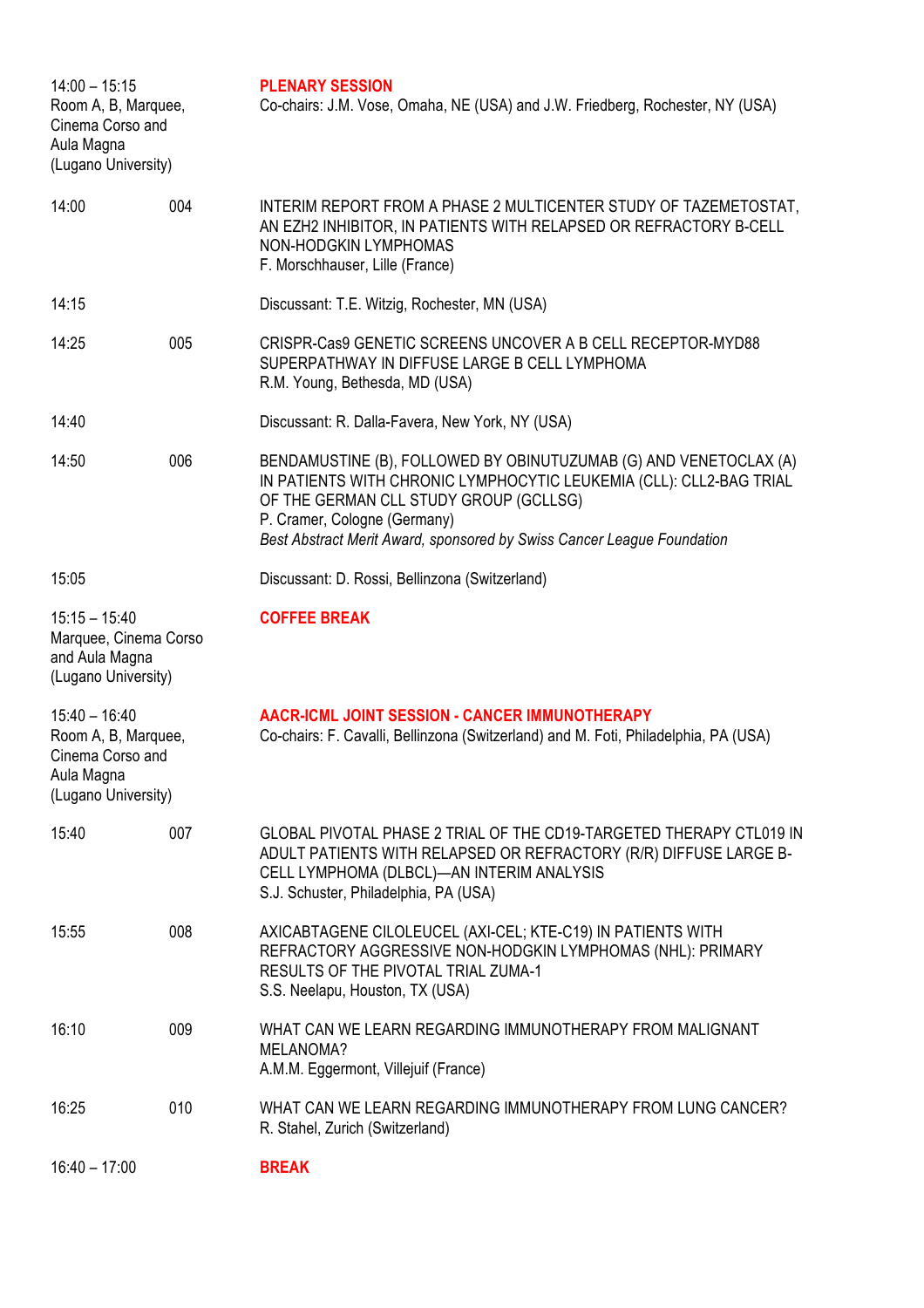| $14:00 - 15:15$<br>Room A, B, Marquee,<br>Cinema Corso and<br>Aula Magna<br>(Lugano University) |     | <b>PLENARY SESSION</b><br>Co-chairs: J.M. Vose, Omaha, NE (USA) and J.W. Friedberg, Rochester, NY (USA)                                                                                                                                                                                      |
|-------------------------------------------------------------------------------------------------|-----|----------------------------------------------------------------------------------------------------------------------------------------------------------------------------------------------------------------------------------------------------------------------------------------------|
| 14:00                                                                                           | 004 | INTERIM REPORT FROM A PHASE 2 MULTICENTER STUDY OF TAZEMETOSTAT,<br>AN EZH2 INHIBITOR, IN PATIENTS WITH RELAPSED OR REFRACTORY B-CELL<br>NON-HODGKIN LYMPHOMAS<br>F. Morschhauser, Lille (France)                                                                                            |
| 14:15                                                                                           |     | Discussant: T.E. Witzig, Rochester, MN (USA)                                                                                                                                                                                                                                                 |
| 14:25                                                                                           | 005 | CRISPR-Cas9 GENETIC SCREENS UNCOVER A B CELL RECEPTOR-MYD88<br>SUPERPATHWAY IN DIFFUSE LARGE B CELL LYMPHOMA<br>R.M. Young, Bethesda, MD (USA)                                                                                                                                               |
| 14:40                                                                                           |     | Discussant: R. Dalla-Favera, New York, NY (USA)                                                                                                                                                                                                                                              |
| 14:50                                                                                           | 006 | BENDAMUSTINE (B), FOLLOWED BY OBINUTUZUMAB (G) AND VENETOCLAX (A)<br>IN PATIENTS WITH CHRONIC LYMPHOCYTIC LEUKEMIA (CLL): CLL2-BAG TRIAL<br>OF THE GERMAN CLL STUDY GROUP (GCLLSG)<br>P. Cramer, Cologne (Germany)<br>Best Abstract Merit Award, sponsored by Swiss Cancer League Foundation |
| 15:05                                                                                           |     | Discussant: D. Rossi, Bellinzona (Switzerland)                                                                                                                                                                                                                                               |
| $15:15 - 15:40$<br>Marquee, Cinema Corso<br>and Aula Magna<br>(Lugano University)               |     | <b>COFFEE BREAK</b>                                                                                                                                                                                                                                                                          |
| $15:40 - 16:40$<br>Room A, B, Marquee,<br>Cinema Corso and<br>Aula Magna<br>(Lugano University) |     | <b>AACR-ICML JOINT SESSION - CANCER IMMUNOTHERAPY</b><br>Co-chairs: F. Cavalli, Bellinzona (Switzerland) and M. Foti, Philadelphia, PA (USA)                                                                                                                                                 |
| 15:40                                                                                           | 007 | GLOBAL PIVOTAL PHASE 2 TRIAL OF THE CD19-TARGETED THERAPY CTL019 IN<br>ADULT PATIENTS WITH RELAPSED OR REFRACTORY (R/R) DIFFUSE LARGE B-<br>CELL LYMPHOMA (DLBCL)—AN INTERIM ANALYSIS<br>S.J. Schuster, Philadelphia, PA (USA)                                                               |
| 15:55                                                                                           | 008 | AXICABTAGENE CILOLEUCEL (AXI-CEL; KTE-C19) IN PATIENTS WITH<br>REFRACTORY AGGRESSIVE NON-HODGKIN LYMPHOMAS (NHL): PRIMARY<br>RESULTS OF THE PIVOTAL TRIAL ZUMA-1<br>S.S. Neelapu, Houston, TX (USA)                                                                                          |
| 16:10                                                                                           | 009 | WHAT CAN WE LEARN REGARDING IMMUNOTHERAPY FROM MALIGNANT<br>MELANOMA?<br>A.M.M. Eggermont, Villejuif (France)                                                                                                                                                                                |
| 16:25                                                                                           | 010 | WHAT CAN WE LEARN REGARDING IMMUNOTHERAPY FROM LUNG CANCER?<br>R. Stahel, Zurich (Switzerland)                                                                                                                                                                                               |
| $16:40 - 17:00$                                                                                 |     | <b>BREAK</b>                                                                                                                                                                                                                                                                                 |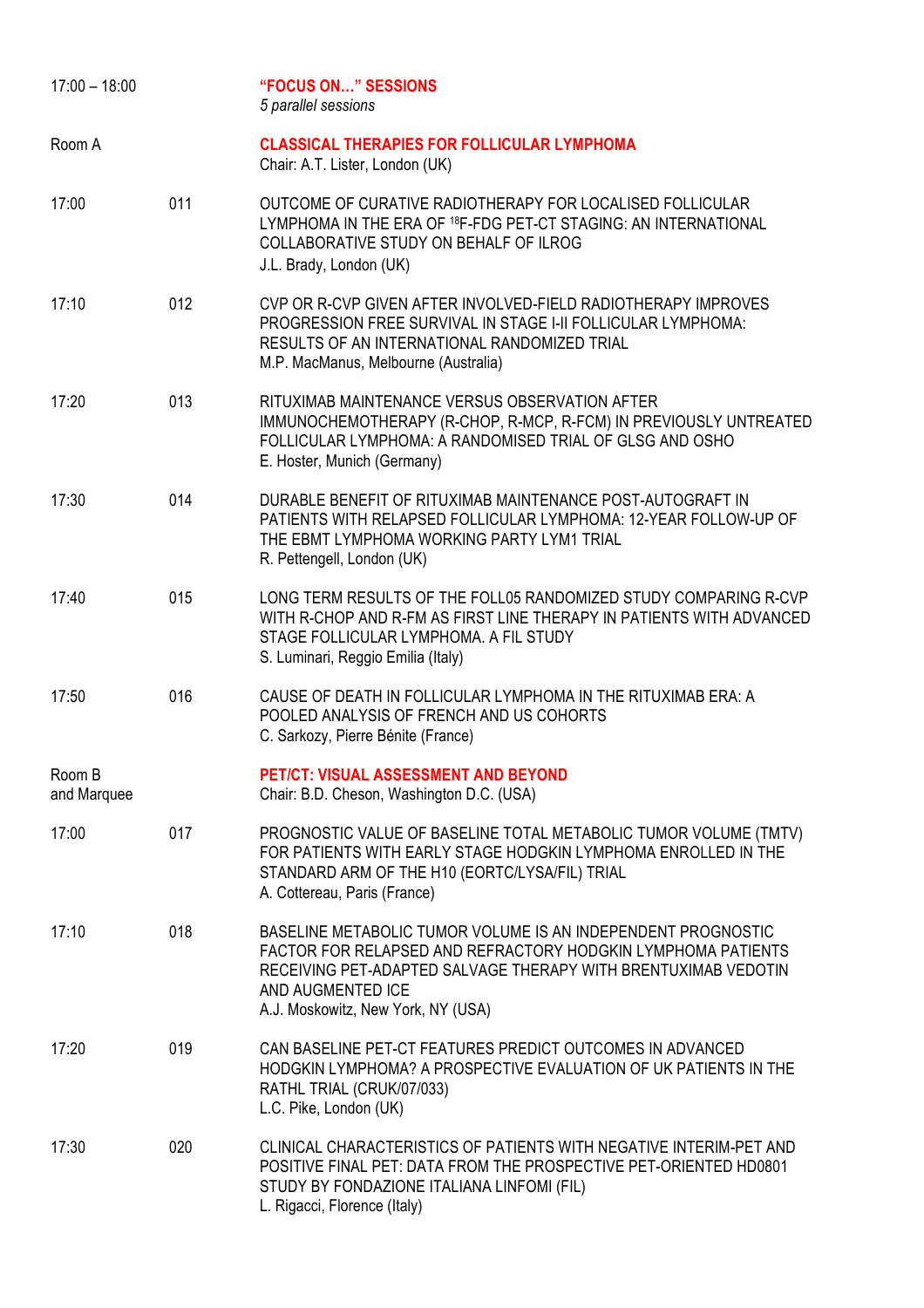| $17:00 - 18:00$       |     | <b>"FOCUS ON" SESSIONS</b><br>5 parallel sessions                                                                                                                                                                                                         |
|-----------------------|-----|-----------------------------------------------------------------------------------------------------------------------------------------------------------------------------------------------------------------------------------------------------------|
| Room A                |     | <b>CLASSICAL THERAPIES FOR FOLLICULAR LYMPHOMA</b><br>Chair: A.T. Lister, London (UK)                                                                                                                                                                     |
| 17:00                 | 011 | OUTCOME OF CURATIVE RADIOTHERAPY FOR LOCALISED FOLLICULAR<br>LYMPHOMA IN THE ERA OF <sup>18</sup> F-FDG PET-CT STAGING: AN INTERNATIONAL<br>COLLABORATIVE STUDY ON BEHALF OF ILROG<br>J.L. Brady, London (UK)                                             |
| 17:10                 | 012 | CVP OR R-CVP GIVEN AFTER INVOLVED-FIELD RADIOTHERAPY IMPROVES<br>PROGRESSION FREE SURVIVAL IN STAGE I-II FOLLICULAR LYMPHOMA:<br>RESULTS OF AN INTERNATIONAL RANDOMIZED TRIAL<br>M.P. MacManus, Melbourne (Australia)                                     |
| 17:20                 | 013 | RITUXIMAB MAINTENANCE VERSUS OBSERVATION AFTER<br>IMMUNOCHEMOTHERAPY (R-CHOP, R-MCP, R-FCM) IN PREVIOUSLY UNTREATED<br>FOLLICULAR LYMPHOMA: A RANDOMISED TRIAL OF GLSG AND OSHO<br>E. Hoster, Munich (Germany)                                            |
| 17:30                 | 014 | DURABLE BENEFIT OF RITUXIMAB MAINTENANCE POST-AUTOGRAFT IN<br>PATIENTS WITH RELAPSED FOLLICULAR LYMPHOMA: 12-YEAR FOLLOW-UP OF<br>THE EBMT LYMPHOMA WORKING PARTY LYM1 TRIAL<br>R. Pettengell, London (UK)                                                |
| 17:40                 | 015 | LONG TERM RESULTS OF THE FOLL05 RANDOMIZED STUDY COMPARING R-CVP<br>WITH R-CHOP AND R-FM AS FIRST LINE THERAPY IN PATIENTS WITH ADVANCED<br>STAGE FOLLICULAR LYMPHOMA. A FIL STUDY<br>S. Luminari, Reggio Emilia (Italy)                                  |
| 17:50                 | 016 | CAUSE OF DEATH IN FOLLICULAR LYMPHOMA IN THE RITUXIMAB ERA: A<br>POOLED ANALYSIS OF FRENCH AND US COHORTS<br>C. Sarkozy, Pierre Bénite (France)                                                                                                           |
| Room B<br>and Marquee |     | PET/CT: VISUAL ASSESSMENT AND BEYOND<br>Chair: B.D. Cheson, Washington D.C. (USA)                                                                                                                                                                         |
| 17:00                 | 017 | PROGNOSTIC VALUE OF BASELINE TOTAL METABOLIC TUMOR VOLUME (TMTV)<br>FOR PATIENTS WITH EARLY STAGE HODGKIN LYMPHOMA ENROLLED IN THE<br>STANDARD ARM OF THE H10 (EORTC/LYSA/FIL) TRIAL<br>A. Cottereau, Paris (France)                                      |
| 17:10                 | 018 | BASELINE METABOLIC TUMOR VOLUME IS AN INDEPENDENT PROGNOSTIC<br>FACTOR FOR RELAPSED AND REFRACTORY HODGKIN LYMPHOMA PATIENTS<br>RECEIVING PET-ADAPTED SALVAGE THERAPY WITH BRENTUXIMAB VEDOTIN<br>AND AUGMENTED ICE<br>A.J. Moskowitz, New York, NY (USA) |
| 17:20                 | 019 | CAN BASELINE PET-CT FEATURES PREDICT OUTCOMES IN ADVANCED<br>HODGKIN LYMPHOMA? A PROSPECTIVE EVALUATION OF UK PATIENTS IN THE<br>RATHL TRIAL (CRUK/07/033)<br>L.C. Pike, London (UK)                                                                      |
| 17:30                 | 020 | CLINICAL CHARACTERISTICS OF PATIENTS WITH NEGATIVE INTERIM-PET AND<br>POSITIVE FINAL PET: DATA FROM THE PROSPECTIVE PET-ORIENTED HD0801<br>STUDY BY FONDAZIONE ITALIANA LINFOMI (FIL)<br>L. Rigacci, Florence (Italy)                                     |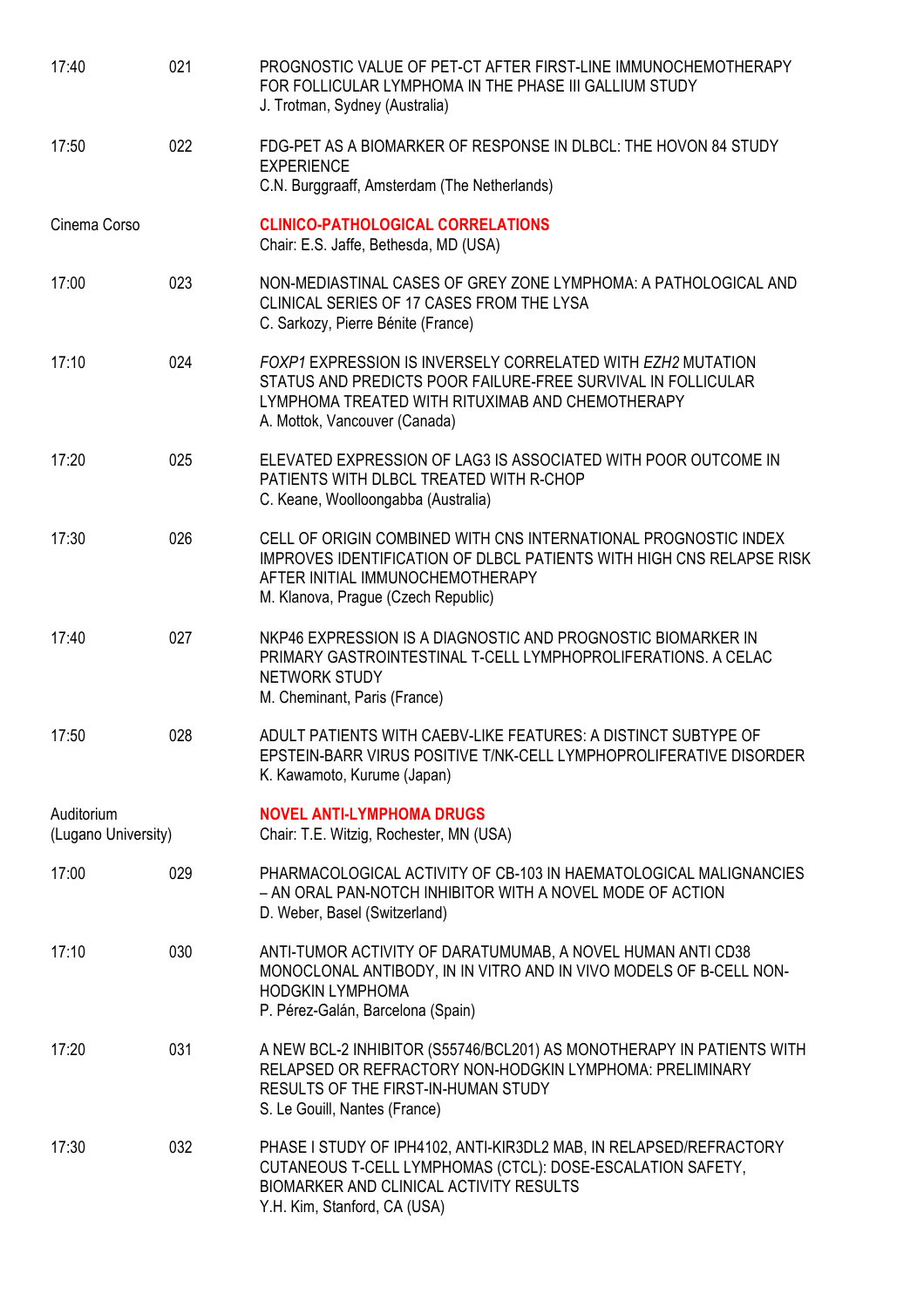| 17:40                             | 021 | PROGNOSTIC VALUE OF PET-CT AFTER FIRST-LINE IMMUNOCHEMOTHERAPY<br>FOR FOLLICULAR LYMPHOMA IN THE PHASE III GALLIUM STUDY<br>J. Trotman, Sydney (Australia)                                                                |
|-----------------------------------|-----|---------------------------------------------------------------------------------------------------------------------------------------------------------------------------------------------------------------------------|
| 17:50                             | 022 | FDG-PET AS A BIOMARKER OF RESPONSE IN DLBCL: THE HOVON 84 STUDY<br><b>EXPERIENCE</b><br>C.N. Burggraaff, Amsterdam (The Netherlands)                                                                                      |
| Cinema Corso                      |     | <b>CLINICO-PATHOLOGICAL CORRELATIONS</b><br>Chair: E.S. Jaffe, Bethesda, MD (USA)                                                                                                                                         |
| 17:00                             | 023 | NON-MEDIASTINAL CASES OF GREY ZONE LYMPHOMA: A PATHOLOGICAL AND<br>CLINICAL SERIES OF 17 CASES FROM THE LYSA<br>C. Sarkozy, Pierre Bénite (France)                                                                        |
| 17:10                             | 024 | FOXP1 EXPRESSION IS INVERSELY CORRELATED WITH EZH2 MUTATION<br>STATUS AND PREDICTS POOR FAILURE-FREE SURVIVAL IN FOLLICULAR<br>LYMPHOMA TREATED WITH RITUXIMAB AND CHEMOTHERAPY<br>A. Mottok, Vancouver (Canada)          |
| 17:20                             | 025 | ELEVATED EXPRESSION OF LAG3 IS ASSOCIATED WITH POOR OUTCOME IN<br>PATIENTS WITH DLBCL TREATED WITH R-CHOP<br>C. Keane, Woolloongabba (Australia)                                                                          |
| 17:30                             | 026 | CELL OF ORIGIN COMBINED WITH CNS INTERNATIONAL PROGNOSTIC INDEX<br><b>IMPROVES IDENTIFICATION OF DLBCL PATIENTS WITH HIGH CNS RELAPSE RISK</b><br>AFTER INITIAL IMMUNOCHEMOTHERAPY<br>M. Klanova, Prague (Czech Republic) |
| 17:40                             | 027 | NKP46 EXPRESSION IS A DIAGNOSTIC AND PROGNOSTIC BIOMARKER IN<br>PRIMARY GASTROINTESTINAL T-CELL LYMPHOPROLIFERATIONS. A CELAC<br><b>NETWORK STUDY</b><br>M. Cheminant, Paris (France)                                     |
| 17:50                             | 028 | ADULT PATIENTS WITH CAEBV-LIKE FEATURES: A DISTINCT SUBTYPE OF<br>EPSTEIN-BARR VIRUS POSITIVE T/NK-CELL LYMPHOPROLIFERATIVE DISORDER<br>K. Kawamoto, Kurume (Japan)                                                       |
| Auditorium<br>(Lugano University) |     | <b>NOVEL ANTI-LYMPHOMA DRUGS</b><br>Chair: T.E. Witzig, Rochester, MN (USA)                                                                                                                                               |
| 17:00                             | 029 | PHARMACOLOGICAL ACTIVITY OF CB-103 IN HAEMATOLOGICAL MALIGNANCIES<br>- AN ORAL PAN-NOTCH INHIBITOR WITH A NOVEL MODE OF ACTION<br>D. Weber, Basel (Switzerland)                                                           |
| 17:10                             | 030 | ANTI-TUMOR ACTIVITY OF DARATUMUMAB, A NOVEL HUMAN ANTI CD38<br>MONOCLONAL ANTIBODY, IN IN VITRO AND IN VIVO MODELS OF B-CELL NON-<br><b>HODGKIN LYMPHOMA</b><br>P. Pérez-Galán, Barcelona (Spain)                         |
| 17:20                             | 031 | A NEW BCL-2 INHIBITOR (S55746/BCL201) AS MONOTHERAPY IN PATIENTS WITH<br>RELAPSED OR REFRACTORY NON-HODGKIN LYMPHOMA: PRELIMINARY<br>RESULTS OF THE FIRST-IN-HUMAN STUDY<br>S. Le Gouill, Nantes (France)                 |
| 17:30                             | 032 | PHASE I STUDY OF IPH4102, ANTI-KIR3DL2 MAB, IN RELAPSED/REFRACTORY<br>CUTANEOUS T-CELL LYMPHOMAS (CTCL): DOSE-ESCALATION SAFETY,<br>BIOMARKER AND CLINICAL ACTIVITY RESULTS<br>Y.H. Kim, Stanford, CA (USA)               |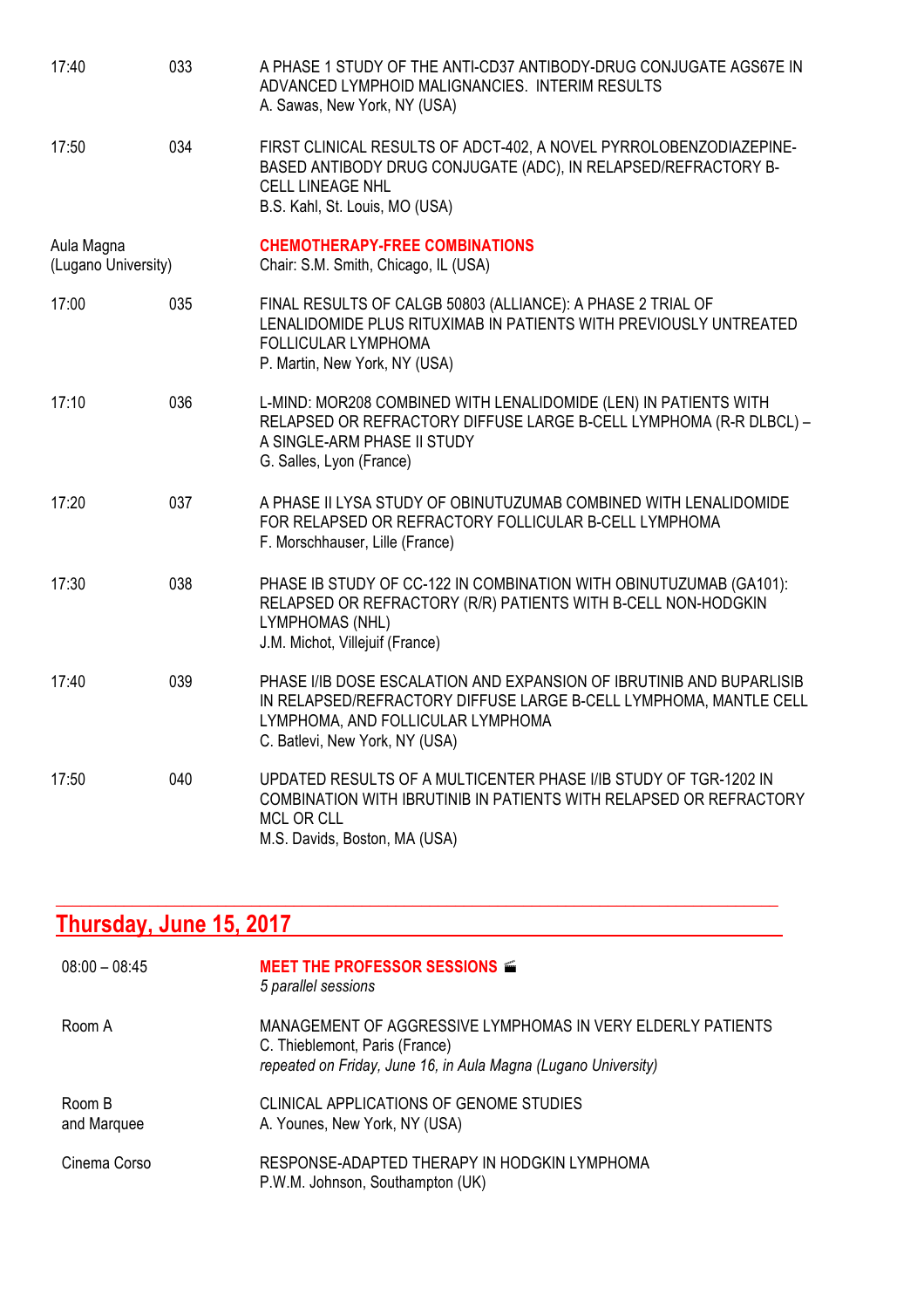| 17:40                             | 033 | A PHASE 1 STUDY OF THE ANTI-CD37 ANTIBODY-DRUG CONJUGATE AGS67E IN<br>ADVANCED LYMPHOID MALIGNANCIES. INTERIM RESULTS<br>A. Sawas, New York, NY (USA)                                                            |
|-----------------------------------|-----|------------------------------------------------------------------------------------------------------------------------------------------------------------------------------------------------------------------|
| 17:50                             | 034 | FIRST CLINICAL RESULTS OF ADCT-402, A NOVEL PYRROLOBENZODIAZEPINE-<br>BASED ANTIBODY DRUG CONJUGATE (ADC), IN RELAPSED/REFRACTORY B-<br><b>CELL LINEAGE NHL</b><br>B.S. Kahl, St. Louis, MO (USA)                |
| Aula Magna<br>(Lugano University) |     | <b>CHEMOTHERAPY-FREE COMBINATIONS</b><br>Chair: S.M. Smith, Chicago, IL (USA)                                                                                                                                    |
| 17:00                             | 035 | FINAL RESULTS OF CALGB 50803 (ALLIANCE): A PHASE 2 TRIAL OF<br>LENALIDOMIDE PLUS RITUXIMAB IN PATIENTS WITH PREVIOUSLY UNTREATED<br>FOLLICULAR LYMPHOMA<br>P. Martin, New York, NY (USA)                         |
| 17:10                             | 036 | L-MIND: MOR208 COMBINED WITH LENALIDOMIDE (LEN) IN PATIENTS WITH<br>RELAPSED OR REFRACTORY DIFFUSE LARGE B-CELL LYMPHOMA (R-R DLBCL) -<br>A SINGLE-ARM PHASE II STUDY<br>G. Salles, Lyon (France)                |
| 17:20                             | 037 | A PHASE II LYSA STUDY OF OBINUTUZUMAB COMBINED WITH LENALIDOMIDE<br>FOR RELAPSED OR REFRACTORY FOLLICULAR B-CELL LYMPHOMA<br>F. Morschhauser, Lille (France)                                                     |
| 17:30                             | 038 | PHASE IB STUDY OF CC-122 IN COMBINATION WITH OBINUTUZUMAB (GA101):<br>RELAPSED OR REFRACTORY (R/R) PATIENTS WITH B-CELL NON-HODGKIN<br>LYMPHOMAS (NHL)<br>J.M. Michot, Villejuif (France)                        |
| 17:40                             | 039 | PHASE I/IB DOSE ESCALATION AND EXPANSION OF IBRUTINIB AND BUPARLISIB<br>IN RELAPSED/REFRACTORY DIFFUSE LARGE B-CELL LYMPHOMA, MANTLE CELL<br>LYMPHOMA, AND FOLLICULAR LYMPHOMA<br>C. Batlevi, New York, NY (USA) |
| 17:50                             | 040 | UPDATED RESULTS OF A MULTICENTER PHASE I/IB STUDY OF TGR-1202 IN<br>COMBINATION WITH IBRUTINIB IN PATIENTS WITH RELAPSED OR REFRACTORY<br><b>MCL OR CLL</b><br>M.S. Davids, Boston, MA (USA)                     |

#### **Thursday, June 15, 2017**

| $08:00 - 08:45$       | <b>MEET THE PROFESSOR SESSIONS <math>\leq</math></b><br>5 parallel sessions                                                                                     |
|-----------------------|-----------------------------------------------------------------------------------------------------------------------------------------------------------------|
| Room A                | MANAGEMENT OF AGGRESSIVE LYMPHOMAS IN VERY ELDERLY PATIENTS<br>C. Thieblemont, Paris (France)<br>repeated on Friday, June 16, in Aula Magna (Lugano University) |
| Room B<br>and Marquee | CLINICAL APPLICATIONS OF GENOME STUDIES<br>A. Younes, New York, NY (USA)                                                                                        |
| Cinema Corso          | RESPONSE-ADAPTED THERAPY IN HODGKIN LYMPHOMA<br>P.W.M. Johnson, Southampton (UK)                                                                                |

**\_\_\_\_\_\_\_\_\_\_\_\_\_\_\_\_\_\_\_\_\_\_\_\_\_\_\_\_\_\_\_\_\_\_\_\_\_\_\_\_\_\_\_\_\_\_\_\_\_\_\_\_\_\_\_\_\_\_\_\_\_\_\_\_\_\_\_\_\_\_\_\_\_\_\_\_\_\_\_\_\_\_\_\_\_**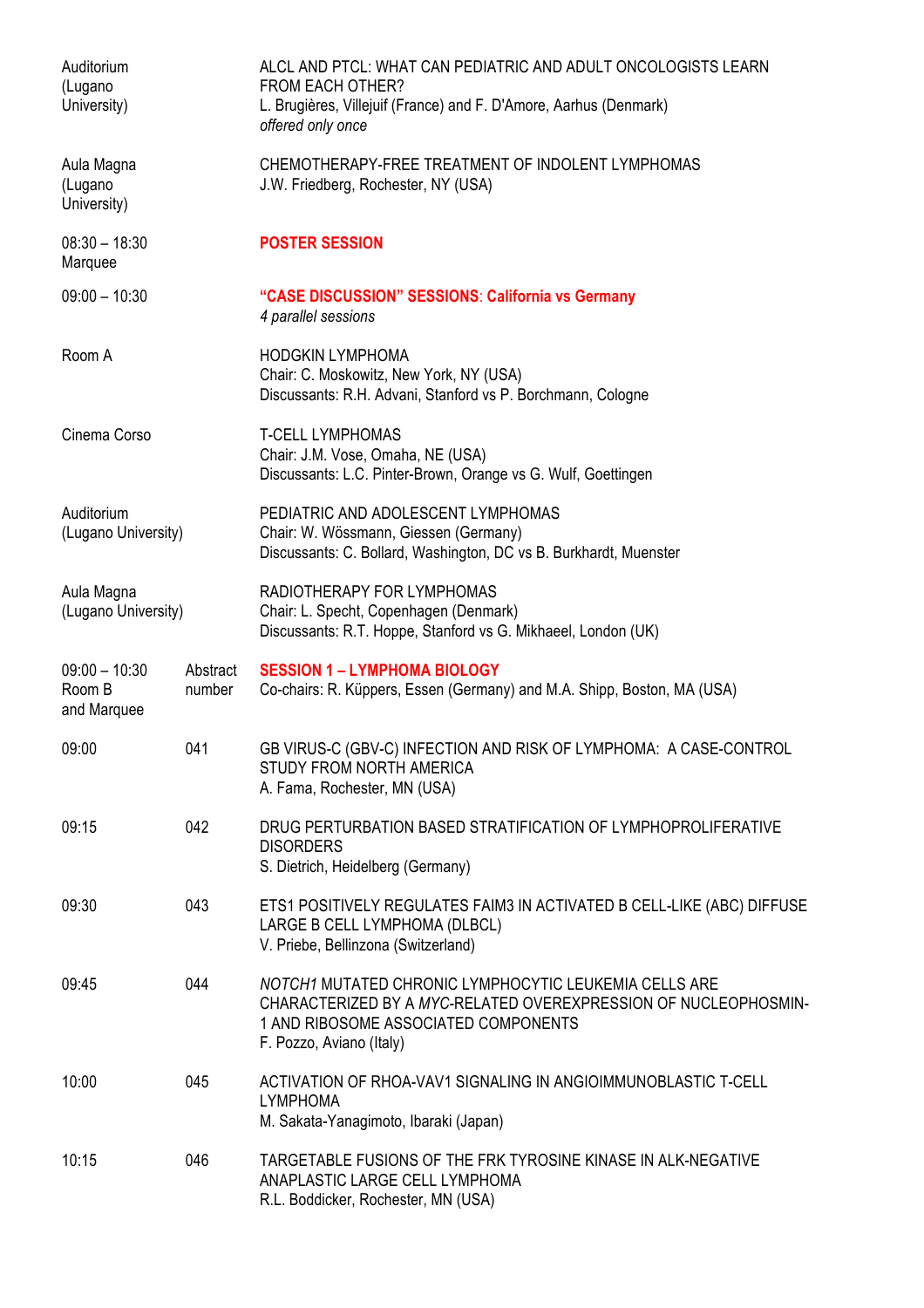| Auditorium<br>(Lugano<br>University)     |                    | ALCL AND PTCL: WHAT CAN PEDIATRIC AND ADULT ONCOLOGISTS LEARN<br><b>FROM EACH OTHER?</b><br>L. Brugières, Villejuif (France) and F. D'Amore, Aarhus (Denmark)<br>offered only once           |
|------------------------------------------|--------------------|----------------------------------------------------------------------------------------------------------------------------------------------------------------------------------------------|
| Aula Magna<br>(Lugano<br>University)     |                    | CHEMOTHERAPY-FREE TREATMENT OF INDOLENT LYMPHOMAS<br>J.W. Friedberg, Rochester, NY (USA)                                                                                                     |
| $08:30 - 18:30$<br>Marquee               |                    | <b>POSTER SESSION</b>                                                                                                                                                                        |
| $09:00 - 10:30$                          |                    | "CASE DISCUSSION" SESSIONS: California vs Germany<br>4 parallel sessions                                                                                                                     |
| Room A                                   |                    | <b>HODGKIN LYMPHOMA</b><br>Chair: C. Moskowitz, New York, NY (USA)<br>Discussants: R.H. Advani, Stanford vs P. Borchmann, Cologne                                                            |
| Cinema Corso                             |                    | <b>T-CELL LYMPHOMAS</b><br>Chair: J.M. Vose, Omaha, NE (USA)<br>Discussants: L.C. Pinter-Brown, Orange vs G. Wulf, Goettingen                                                                |
| Auditorium<br>(Lugano University)        |                    | PEDIATRIC AND ADOLESCENT LYMPHOMAS<br>Chair: W. Wössmann, Giessen (Germany)<br>Discussants: C. Bollard, Washington, DC vs B. Burkhardt, Muenster                                             |
| Aula Magna<br>(Lugano University)        |                    | RADIOTHERAPY FOR LYMPHOMAS<br>Chair: L. Specht, Copenhagen (Denmark)<br>Discussants: R.T. Hoppe, Stanford vs G. Mikhaeel, London (UK)                                                        |
| $09:00 - 10:30$<br>Room B<br>and Marquee | Abstract<br>number | <b>SESSION 1 - LYMPHOMA BIOLOGY</b><br>Co-chairs: R. Küppers, Essen (Germany) and M.A. Shipp, Boston, MA (USA)                                                                               |
| 09:00                                    | 041                | GB VIRUS-C (GBV-C) INFECTION AND RISK OF LYMPHOMA: A CASE-CONTROL<br>STUDY FROM NORTH AMERICA<br>A. Fama, Rochester, MN (USA)                                                                |
| 09:15                                    | 042                | DRUG PERTURBATION BASED STRATIFICATION OF LYMPHOPROLIFERATIVE<br><b>DISORDERS</b><br>S. Dietrich, Heidelberg (Germany)                                                                       |
| 09:30                                    | 043                | ETS1 POSITIVELY REGULATES FAIM3 IN ACTIVATED B CELL-LIKE (ABC) DIFFUSE<br>LARGE B CELL LYMPHOMA (DLBCL)<br>V. Priebe, Bellinzona (Switzerland)                                               |
| 09:45                                    | 044                | NOTCH1 MUTATED CHRONIC LYMPHOCYTIC LEUKEMIA CELLS ARE<br>CHARACTERIZED BY A MYC-RELATED OVEREXPRESSION OF NUCLEOPHOSMIN-<br>1 AND RIBOSOME ASSOCIATED COMPONENTS<br>F. Pozzo, Aviano (Italy) |
| 10:00                                    | 045                | ACTIVATION OF RHOA-VAV1 SIGNALING IN ANGIOIMMUNOBLASTIC T-CELL<br><b>LYMPHOMA</b><br>M. Sakata-Yanagimoto, Ibaraki (Japan)                                                                   |
| 10:15                                    | 046                | TARGETABLE FUSIONS OF THE FRK TYROSINE KINASE IN ALK-NEGATIVE<br>ANAPLASTIC LARGE CELL LYMPHOMA<br>R.L. Boddicker, Rochester, MN (USA)                                                       |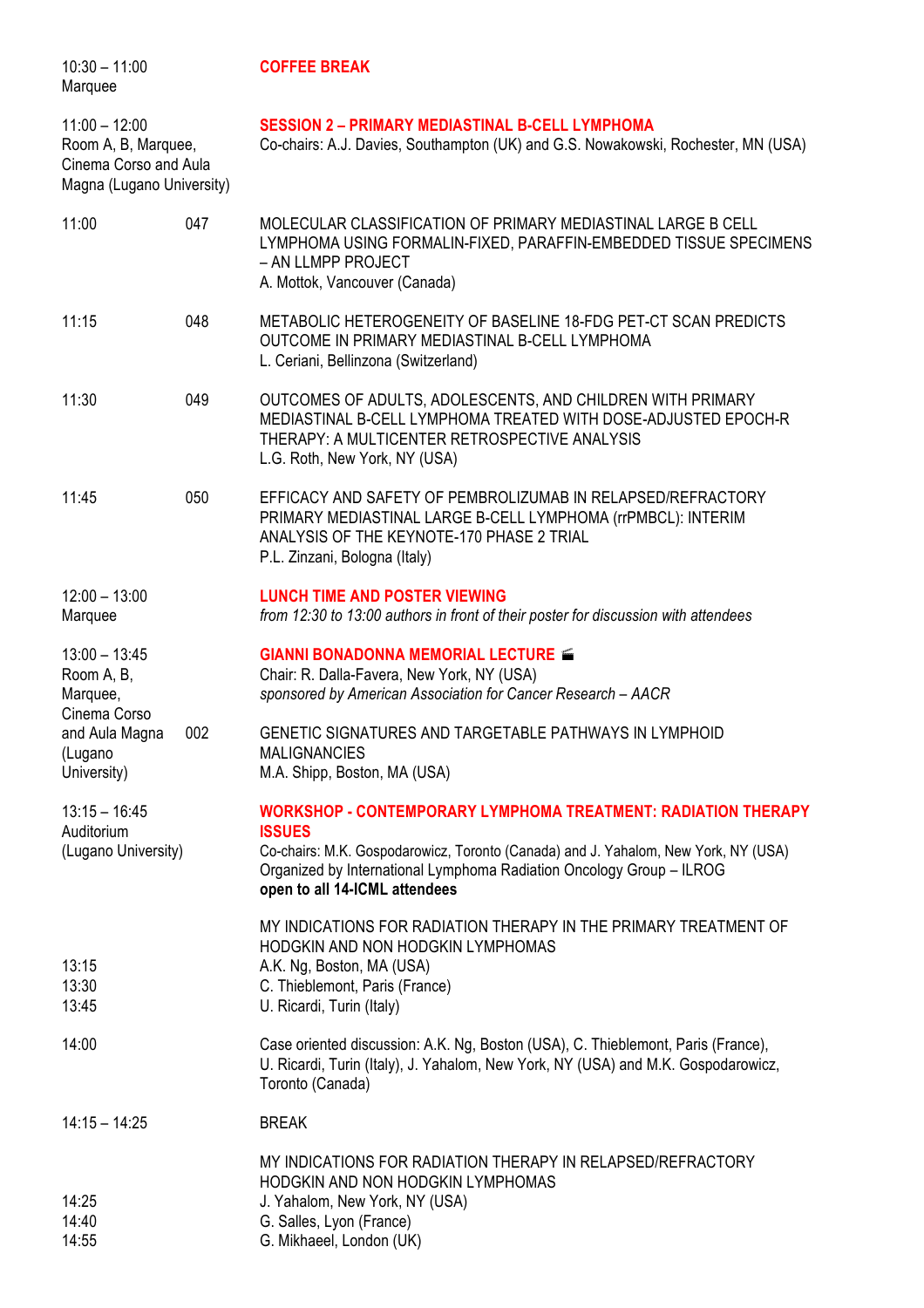| $10:30 - 11:00$<br>Marquee                                                                            |     | <b>COFFEE BREAK</b>                                                                                                                                                                                                                                                           |
|-------------------------------------------------------------------------------------------------------|-----|-------------------------------------------------------------------------------------------------------------------------------------------------------------------------------------------------------------------------------------------------------------------------------|
| $11:00 - 12:00$<br>Room A, B, Marquee,<br>Cinema Corso and Aula<br>Magna (Lugano University)          |     | <b>SESSION 2 - PRIMARY MEDIASTINAL B-CELL LYMPHOMA</b><br>Co-chairs: A.J. Davies, Southampton (UK) and G.S. Nowakowski, Rochester, MN (USA)                                                                                                                                   |
| 11:00                                                                                                 | 047 | MOLECULAR CLASSIFICATION OF PRIMARY MEDIASTINAL LARGE B CELL<br>LYMPHOMA USING FORMALIN-FIXED, PARAFFIN-EMBEDDED TISSUE SPECIMENS<br>- AN LLMPP PROJECT<br>A. Mottok, Vancouver (Canada)                                                                                      |
| 11:15                                                                                                 | 048 | METABOLIC HETEROGENEITY OF BASELINE 18-FDG PET-CT SCAN PREDICTS<br>OUTCOME IN PRIMARY MEDIASTINAL B-CELL LYMPHOMA<br>L. Ceriani, Bellinzona (Switzerland)                                                                                                                     |
| 11:30                                                                                                 | 049 | OUTCOMES OF ADULTS, ADOLESCENTS, AND CHILDREN WITH PRIMARY<br>MEDIASTINAL B-CELL LYMPHOMA TREATED WITH DOSE-ADJUSTED EPOCH-R<br>THERAPY: A MULTICENTER RETROSPECTIVE ANALYSIS<br>L.G. Roth, New York, NY (USA)                                                                |
| 11:45                                                                                                 | 050 | EFFICACY AND SAFETY OF PEMBROLIZUMAB IN RELAPSED/REFRACTORY<br>PRIMARY MEDIASTINAL LARGE B-CELL LYMPHOMA (rrPMBCL): INTERIM<br>ANALYSIS OF THE KEYNOTE-170 PHASE 2 TRIAL<br>P.L. Zinzani, Bologna (Italy)                                                                     |
| $12:00 - 13:00$<br>Marquee                                                                            |     | <b>LUNCH TIME AND POSTER VIEWING</b><br>from 12:30 to 13:00 authors in front of their poster for discussion with attendees                                                                                                                                                    |
| $13:00 - 13:45$<br>Room A, B,<br>Marquee,<br>Cinema Corso<br>and Aula Magna<br>(Lugano<br>University) | 002 | <b>GIANNI BONADONNA MEMORIAL LECTURE &amp;</b><br>Chair: R. Dalla-Favera, New York, NY (USA)<br>sponsored by American Association for Cancer Research - AACR<br>GENETIC SIGNATURES AND TARGETABLE PATHWAYS IN LYMPHOID<br><b>MALIGNANCIES</b><br>M.A. Shipp, Boston, MA (USA) |
| $13:15 - 16:45$                                                                                       |     | <b>WORKSHOP - CONTEMPORARY LYMPHOMA TREATMENT: RADIATION THERAPY</b>                                                                                                                                                                                                          |
| Auditorium<br>(Lugano University)                                                                     |     | <b>ISSUES</b><br>Co-chairs: M.K. Gospodarowicz, Toronto (Canada) and J. Yahalom, New York, NY (USA)<br>Organized by International Lymphoma Radiation Oncology Group - ILROG<br>open to all 14-ICML attendees                                                                  |
| 13:15<br>13:30<br>13:45                                                                               |     | MY INDICATIONS FOR RADIATION THERAPY IN THE PRIMARY TREATMENT OF<br>HODGKIN AND NON HODGKIN LYMPHOMAS<br>A.K. Ng, Boston, MA (USA)<br>C. Thieblemont, Paris (France)<br>U. Ricardi, Turin (Italy)                                                                             |
| 14:00                                                                                                 |     | Case oriented discussion: A.K. Ng, Boston (USA), C. Thieblemont, Paris (France),<br>U. Ricardi, Turin (Italy), J. Yahalom, New York, NY (USA) and M.K. Gospodarowicz,<br>Toronto (Canada)                                                                                     |
| $14:15 - 14:25$                                                                                       |     | <b>BREAK</b>                                                                                                                                                                                                                                                                  |
| 14:25<br>14:40<br>14:55                                                                               |     | MY INDICATIONS FOR RADIATION THERAPY IN RELAPSED/REFRACTORY<br>HODGKIN AND NON HODGKIN LYMPHOMAS<br>J. Yahalom, New York, NY (USA)<br>G. Salles, Lyon (France)<br>G. Mikhaeel, London (UK)                                                                                    |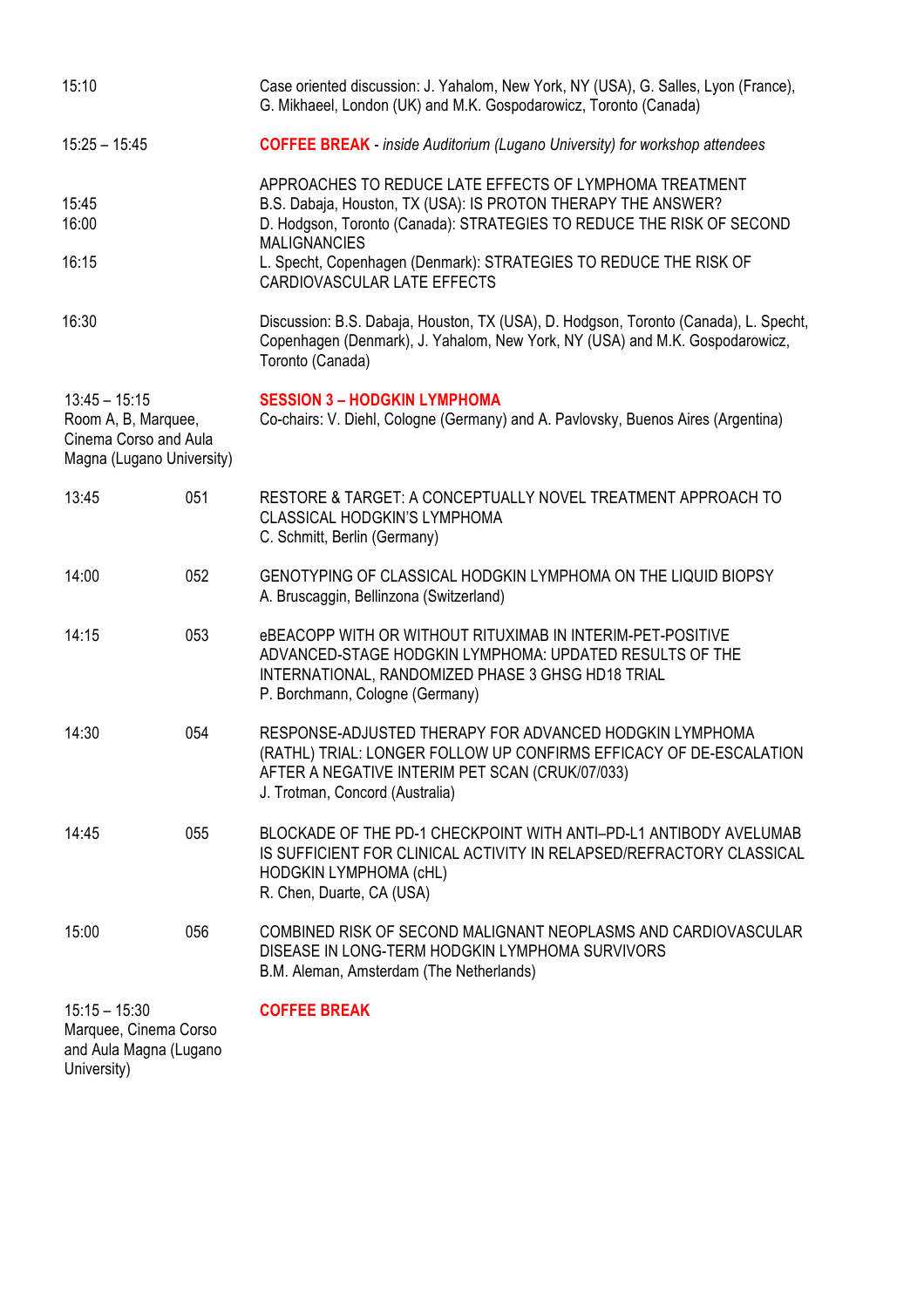| 15:10                                                                                        |     | Case oriented discussion: J. Yahalom, New York, NY (USA), G. Salles, Lyon (France),<br>G. Mikhaeel, London (UK) and M.K. Gospodarowicz, Toronto (Canada)                                                                 |
|----------------------------------------------------------------------------------------------|-----|--------------------------------------------------------------------------------------------------------------------------------------------------------------------------------------------------------------------------|
| $15:25 - 15:45$                                                                              |     | <b>COFFEE BREAK</b> - inside Auditorium (Lugano University) for workshop attendees                                                                                                                                       |
| 15:45<br>16:00                                                                               |     | APPROACHES TO REDUCE LATE EFFECTS OF LYMPHOMA TREATMENT<br>B.S. Dabaja, Houston, TX (USA): IS PROTON THERAPY THE ANSWER?<br>D. Hodgson, Toronto (Canada): STRATEGIES TO REDUCE THE RISK OF SECOND<br><b>MALIGNANCIES</b> |
| 16:15                                                                                        |     | L. Specht, Copenhagen (Denmark): STRATEGIES TO REDUCE THE RISK OF<br>CARDIOVASCULAR LATE EFFECTS                                                                                                                         |
| 16:30                                                                                        |     | Discussion: B.S. Dabaja, Houston, TX (USA), D. Hodgson, Toronto (Canada), L. Specht,<br>Copenhagen (Denmark), J. Yahalom, New York, NY (USA) and M.K. Gospodarowicz,<br>Toronto (Canada)                                 |
| $13:45 - 15:15$<br>Room A, B, Marquee,<br>Cinema Corso and Aula<br>Magna (Lugano University) |     | <b>SESSION 3 - HODGKIN LYMPHOMA</b><br>Co-chairs: V. Diehl, Cologne (Germany) and A. Pavlovsky, Buenos Aires (Argentina)                                                                                                 |
| 13:45                                                                                        | 051 | RESTORE & TARGET: A CONCEPTUALLY NOVEL TREATMENT APPROACH TO<br><b>CLASSICAL HODGKIN'S LYMPHOMA</b><br>C. Schmitt, Berlin (Germany)                                                                                      |
| 14:00                                                                                        | 052 | GENOTYPING OF CLASSICAL HODGKIN LYMPHOMA ON THE LIQUID BIOPSY<br>A. Bruscaggin, Bellinzona (Switzerland)                                                                                                                 |
| 14:15                                                                                        | 053 | eBEACOPP WITH OR WITHOUT RITUXIMAB IN INTERIM-PET-POSITIVE<br>ADVANCED-STAGE HODGKIN LYMPHOMA: UPDATED RESULTS OF THE<br>INTERNATIONAL, RANDOMIZED PHASE 3 GHSG HD18 TRIAL<br>P. Borchmann, Cologne (Germany)            |
| 14:30                                                                                        | 054 | RESPONSE-ADJUSTED THERAPY FOR ADVANCED HODGKIN LYMPHOMA<br>(RATHL) TRIAL: LONGER FOLLOW UP CONFIRMS EFFICACY OF DE-ESCALATION<br>AFTER A NEGATIVE INTERIM PET SCAN (CRUK/07/033)<br>J. Trotman, Concord (Australia)      |
| 14:45                                                                                        | 055 | BLOCKADE OF THE PD-1 CHECKPOINT WITH ANTI-PD-L1 ANTIBODY AVELUMAB<br>IS SUFFICIENT FOR CLINICAL ACTIVITY IN RELAPSED/REFRACTORY CLASSICAL<br>HODGKIN LYMPHOMA (cHL)<br>R. Chen, Duarte, CA (USA)                         |
| 15:00                                                                                        | 056 | COMBINED RISK OF SECOND MALIGNANT NEOPLASMS AND CARDIOVASCULAR<br>DISEASE IN LONG-TERM HODGKIN LYMPHOMA SURVIVORS<br>B.M. Aleman, Amsterdam (The Netherlands)                                                            |
| $15:15 - 15:30$<br>Marquee, Cinema Corso<br>and Aula Magna (Lugano<br>University)            |     | <b>COFFEE BREAK</b>                                                                                                                                                                                                      |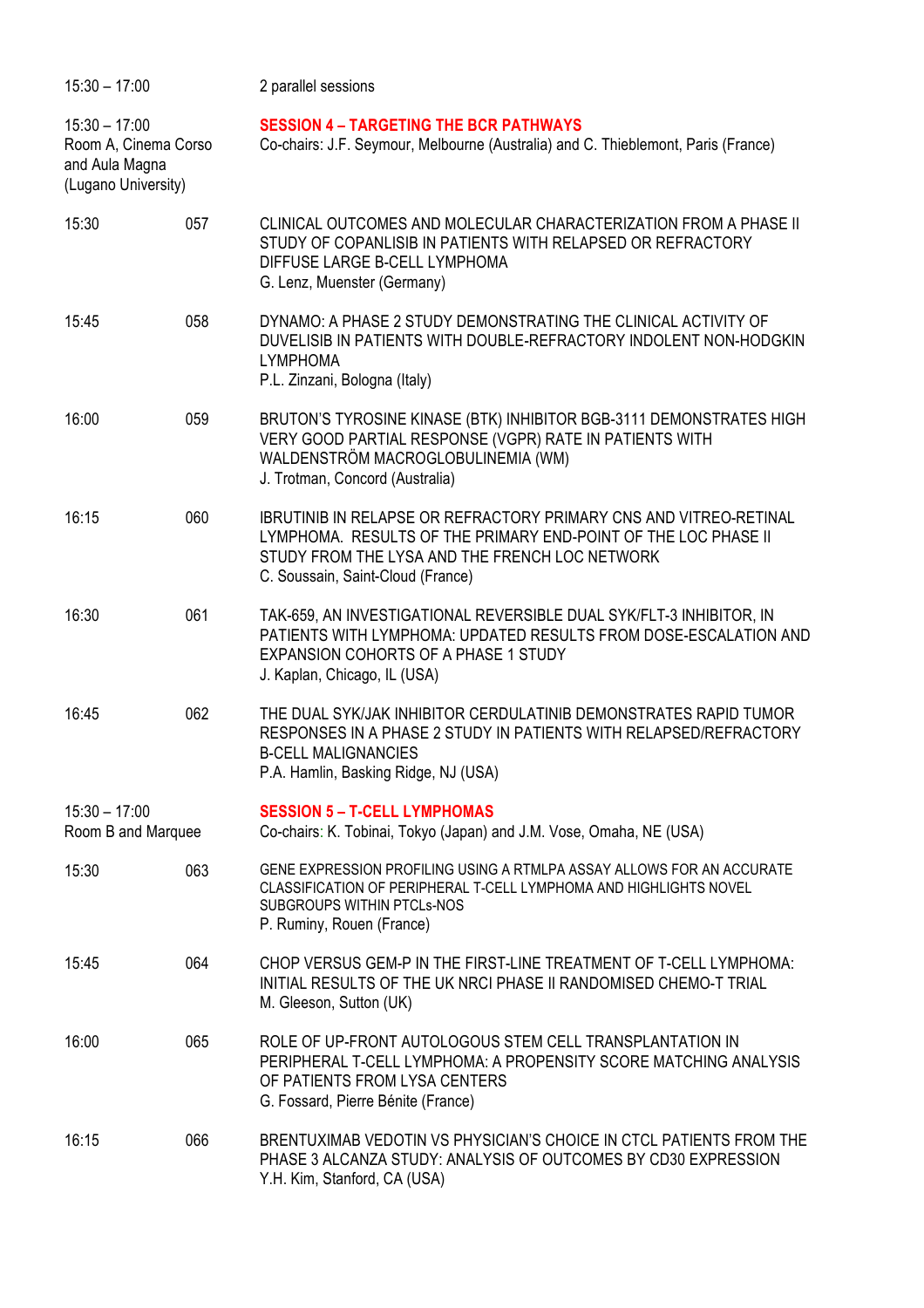| $15:30 - 17:00$                                                                  |     | 2 parallel sessions                                                                                                                                                                                                               |
|----------------------------------------------------------------------------------|-----|-----------------------------------------------------------------------------------------------------------------------------------------------------------------------------------------------------------------------------------|
| $15:30 - 17:00$<br>Room A, Cinema Corso<br>and Aula Magna<br>(Lugano University) |     | <b>SESSION 4 - TARGETING THE BCR PATHWAYS</b><br>Co-chairs: J.F. Seymour, Melbourne (Australia) and C. Thieblemont, Paris (France)                                                                                                |
| 15:30                                                                            | 057 | CLINICAL OUTCOMES AND MOLECULAR CHARACTERIZATION FROM A PHASE II<br>STUDY OF COPANLISIB IN PATIENTS WITH RELAPSED OR REFRACTORY<br>DIFFUSE LARGE B-CELL LYMPHOMA<br>G. Lenz, Muenster (Germany)                                   |
| 15:45                                                                            | 058 | DYNAMO: A PHASE 2 STUDY DEMONSTRATING THE CLINICAL ACTIVITY OF<br>DUVELISIB IN PATIENTS WITH DOUBLE-REFRACTORY INDOLENT NON-HODGKIN<br><b>LYMPHOMA</b><br>P.L. Zinzani, Bologna (Italy)                                           |
| 16:00                                                                            | 059 | BRUTON'S TYROSINE KINASE (BTK) INHIBITOR BGB-3111 DEMONSTRATES HIGH<br>VERY GOOD PARTIAL RESPONSE (VGPR) RATE IN PATIENTS WITH<br>WALDENSTRÖM MACROGLOBULINEMIA (WM)<br>J. Trotman, Concord (Australia)                           |
| 16:15                                                                            | 060 | <b>IBRUTINIB IN RELAPSE OR REFRACTORY PRIMARY CNS AND VITREO-RETINAL</b><br>LYMPHOMA. RESULTS OF THE PRIMARY END-POINT OF THE LOC PHASE II<br>STUDY FROM THE LYSA AND THE FRENCH LOC NETWORK<br>C. Soussain, Saint-Cloud (France) |
| 16:30                                                                            | 061 | TAK-659, AN INVESTIGATIONAL REVERSIBLE DUAL SYK/FLT-3 INHIBITOR, IN<br>PATIENTS WITH LYMPHOMA: UPDATED RESULTS FROM DOSE-ESCALATION AND<br><b>EXPANSION COHORTS OF A PHASE 1 STUDY</b><br>J. Kaplan, Chicago, IL (USA)            |
| 16:45                                                                            | 062 | THE DUAL SYK/JAK INHIBITOR CERDULATINIB DEMONSTRATES RAPID TUMOR<br>RESPONSES IN A PHASE 2 STUDY IN PATIENTS WITH RELAPSED/REFRACTORY<br><b>B-CELL MALIGNANCIES</b><br>P.A. Hamlin, Basking Ridge, NJ (USA)                       |
| $15:30 - 17:00$<br>Room B and Marquee                                            |     | <b>SESSION 5 - T-CELL LYMPHOMAS</b><br>Co-chairs: K. Tobinai, Tokyo (Japan) and J.M. Vose, Omaha, NE (USA)                                                                                                                        |
| 15:30                                                                            | 063 | GENE EXPRESSION PROFILING USING A RTMLPA ASSAY ALLOWS FOR AN ACCURATE<br>CLASSIFICATION OF PERIPHERAL T-CELL LYMPHOMA AND HIGHLIGHTS NOVEL<br><b>SUBGROUPS WITHIN PTCLS-NOS</b><br>P. Ruminy, Rouen (France)                      |
| 15:45                                                                            | 064 | CHOP VERSUS GEM-P IN THE FIRST-LINE TREATMENT OF T-CELL LYMPHOMA:<br>INITIAL RESULTS OF THE UK NRCI PHASE II RANDOMISED CHEMO-T TRIAL<br>M. Gleeson, Sutton (UK)                                                                  |
| 16:00                                                                            | 065 | ROLE OF UP-FRONT AUTOLOGOUS STEM CELL TRANSPLANTATION IN<br>PERIPHERAL T-CELL LYMPHOMA: A PROPENSITY SCORE MATCHING ANALYSIS<br>OF PATIENTS FROM LYSA CENTERS<br>G. Fossard, Pierre Bénite (France)                               |
| 16:15                                                                            | 066 | BRENTUXIMAB VEDOTIN VS PHYSICIAN'S CHOICE IN CTCL PATIENTS FROM THE<br>PHASE 3 ALCANZA STUDY: ANALYSIS OF OUTCOMES BY CD30 EXPRESSION<br>Y.H. Kim, Stanford, CA (USA)                                                             |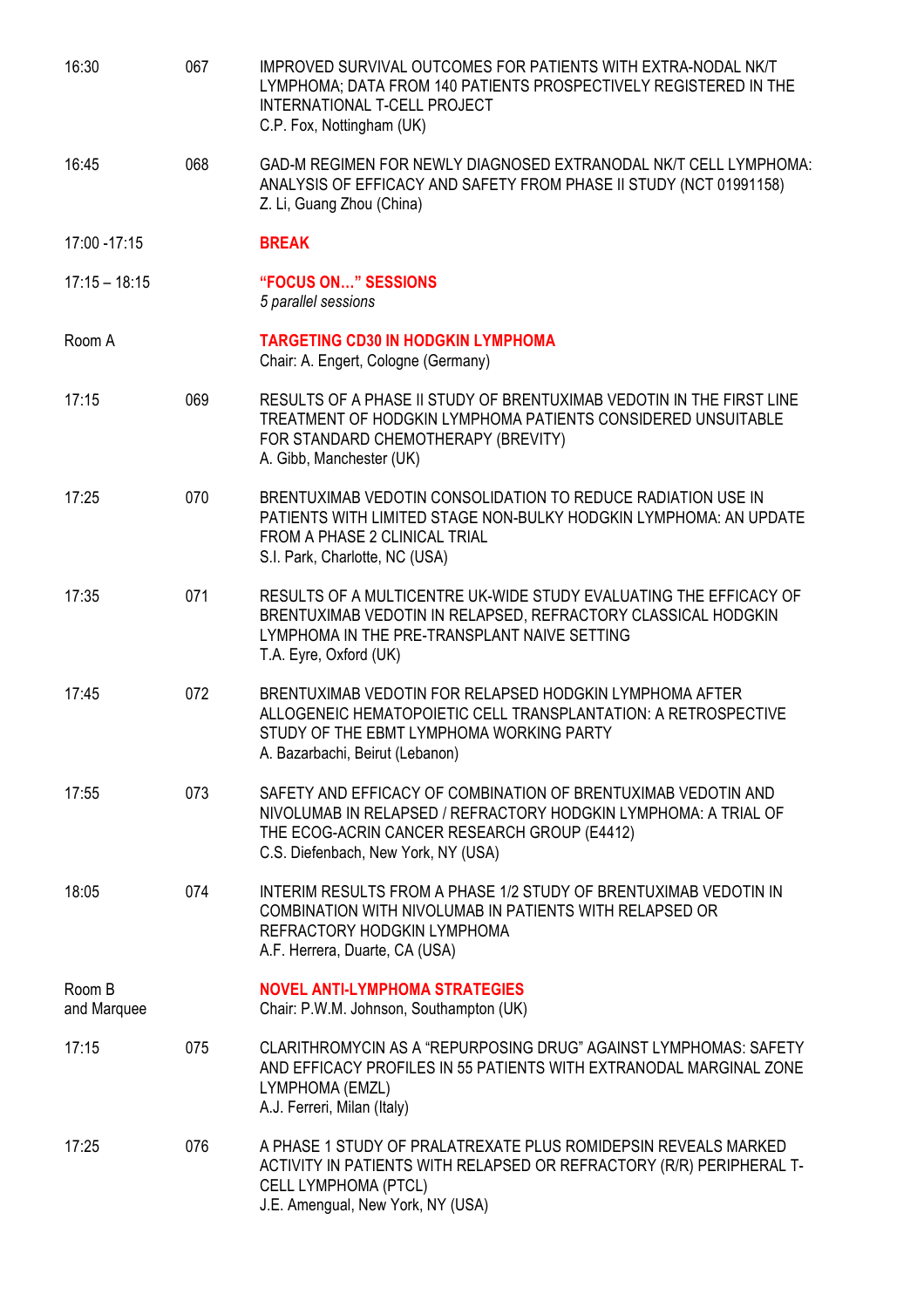| 16:30                 | 067 | IMPROVED SURVIVAL OUTCOMES FOR PATIENTS WITH EXTRA-NODAL NK/T<br>LYMPHOMA; DATA FROM 140 PATIENTS PROSPECTIVELY REGISTERED IN THE<br>INTERNATIONAL T-CELL PROJECT<br>C.P. Fox, Nottingham (UK)                          |
|-----------------------|-----|-------------------------------------------------------------------------------------------------------------------------------------------------------------------------------------------------------------------------|
| 16:45                 | 068 | GAD-M REGIMEN FOR NEWLY DIAGNOSED EXTRANODAL NK/T CELL LYMPHOMA:<br>ANALYSIS OF EFFICACY AND SAFETY FROM PHASE II STUDY (NCT 01991158)<br>Z. Li, Guang Zhou (China)                                                     |
| 17:00 - 17:15         |     | <b>BREAK</b>                                                                                                                                                                                                            |
| $17:15 - 18:15$       |     | "FOCUS ON" SESSIONS<br>5 parallel sessions                                                                                                                                                                              |
| Room A                |     | <b>TARGETING CD30 IN HODGKIN LYMPHOMA</b><br>Chair: A. Engert, Cologne (Germany)                                                                                                                                        |
| 17:15                 | 069 | RESULTS OF A PHASE II STUDY OF BRENTUXIMAB VEDOTIN IN THE FIRST LINE<br>TREATMENT OF HODGKIN LYMPHOMA PATIENTS CONSIDERED UNSUITABLE<br>FOR STANDARD CHEMOTHERAPY (BREVITY)<br>A. Gibb, Manchester (UK)                 |
| 17:25                 | 070 | BRENTUXIMAB VEDOTIN CONSOLIDATION TO REDUCE RADIATION USE IN<br>PATIENTS WITH LIMITED STAGE NON-BULKY HODGKIN LYMPHOMA: AN UPDATE<br>FROM A PHASE 2 CLINICAL TRIAL<br>S.I. Park, Charlotte, NC (USA)                    |
| 17:35                 | 071 | RESULTS OF A MULTICENTRE UK-WIDE STUDY EVALUATING THE EFFICACY OF<br>BRENTUXIMAB VEDOTIN IN RELAPSED, REFRACTORY CLASSICAL HODGKIN<br>LYMPHOMA IN THE PRE-TRANSPLANT NAIVE SETTING<br>T.A. Eyre, Oxford (UK)            |
| 17:45                 | 072 | BRENTUXIMAB VEDOTIN FOR RELAPSED HODGKIN LYMPHOMA AFTER<br>ALLOGENEIC HEMATOPOIETIC CELL TRANSPLANTATION: A RETROSPECTIVE<br>STUDY OF THE EBMT LYMPHOMA WORKING PARTY<br>A. Bazarbachi, Beirut (Lebanon)                |
| 17:55                 | 073 | SAFETY AND EFFICACY OF COMBINATION OF BRENTUXIMAB VEDOTIN AND<br>NIVOLUMAB IN RELAPSED / REFRACTORY HODGKIN LYMPHOMA: A TRIAL OF<br>THE ECOG-ACRIN CANCER RESEARCH GROUP (E4412)<br>C.S. Diefenbach, New York, NY (USA) |
| 18:05                 | 074 | INTERIM RESULTS FROM A PHASE 1/2 STUDY OF BRENTUXIMAB VEDOTIN IN<br>COMBINATION WITH NIVOLUMAB IN PATIENTS WITH RELAPSED OR<br>REFRACTORY HODGKIN LYMPHOMA<br>A.F. Herrera, Duarte, CA (USA)                            |
| Room B<br>and Marquee |     | <b>NOVEL ANTI-LYMPHOMA STRATEGIES</b><br>Chair: P.W.M. Johnson, Southampton (UK)                                                                                                                                        |
| 17:15                 | 075 | CLARITHROMYCIN AS A "REPURPOSING DRUG" AGAINST LYMPHOMAS: SAFETY<br>AND EFFICACY PROFILES IN 55 PATIENTS WITH EXTRANODAL MARGINAL ZONE<br>LYMPHOMA (EMZL)<br>A.J. Ferreri, Milan (Italy)                                |
| 17:25                 | 076 | A PHASE 1 STUDY OF PRALATREXATE PLUS ROMIDEPSIN REVEALS MARKED<br>ACTIVITY IN PATIENTS WITH RELAPSED OR REFRACTORY (R/R) PERIPHERAL T-<br><b>CELL LYMPHOMA (PTCL)</b><br>J.E. Amengual, New York, NY (USA)              |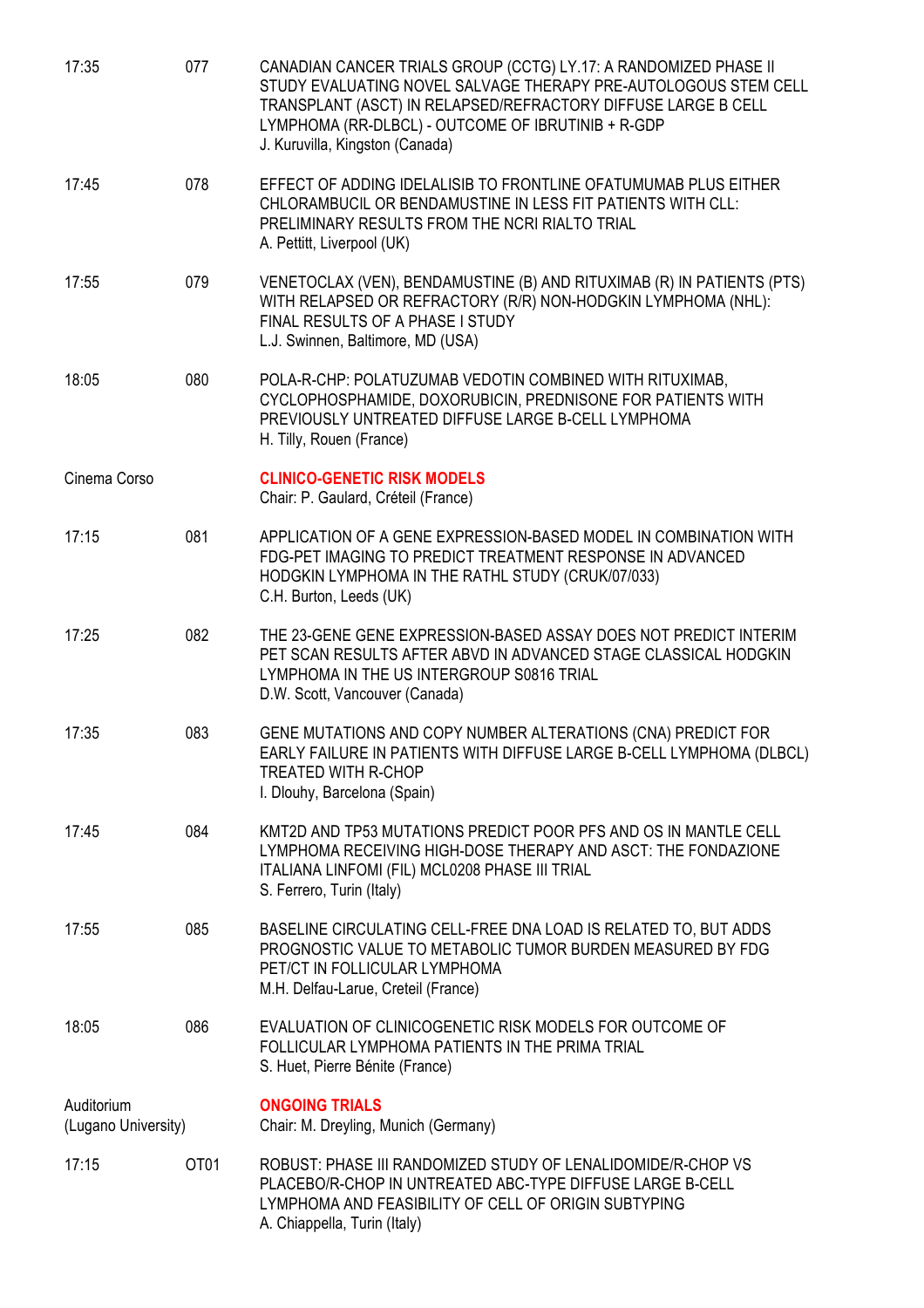| 17:35                             | 077  | CANADIAN CANCER TRIALS GROUP (CCTG) LY.17: A RANDOMIZED PHASE II<br>STUDY EVALUATING NOVEL SALVAGE THERAPY PRE-AUTOLOGOUS STEM CELL<br>TRANSPLANT (ASCT) IN RELAPSED/REFRACTORY DIFFUSE LARGE B CELL<br>LYMPHOMA (RR-DLBCL) - OUTCOME OF IBRUTINIB + R-GDP<br>J. Kuruvilla, Kingston (Canada) |
|-----------------------------------|------|-----------------------------------------------------------------------------------------------------------------------------------------------------------------------------------------------------------------------------------------------------------------------------------------------|
| 17:45                             | 078  | EFFECT OF ADDING IDELALISIB TO FRONTLINE OFATUMUMAB PLUS EITHER<br>CHLORAMBUCIL OR BENDAMUSTINE IN LESS FIT PATIENTS WITH CLL:<br>PRELIMINARY RESULTS FROM THE NCRI RIALTO TRIAL<br>A. Pettitt, Liverpool (UK)                                                                                |
| 17:55                             | 079  | VENETOCLAX (VEN), BENDAMUSTINE (B) AND RITUXIMAB (R) IN PATIENTS (PTS)<br>WITH RELAPSED OR REFRACTORY (R/R) NON-HODGKIN LYMPHOMA (NHL):<br>FINAL RESULTS OF A PHASE I STUDY<br>L.J. Swinnen, Baltimore, MD (USA)                                                                              |
| 18:05                             | 080  | POLA-R-CHP: POLATUZUMAB VEDOTIN COMBINED WITH RITUXIMAB,<br>CYCLOPHOSPHAMIDE, DOXORUBICIN, PREDNISONE FOR PATIENTS WITH<br>PREVIOUSLY UNTREATED DIFFUSE LARGE B-CELL LYMPHOMA<br>H. Tilly, Rouen (France)                                                                                     |
| Cinema Corso                      |      | <b>CLINICO-GENETIC RISK MODELS</b><br>Chair: P. Gaulard, Créteil (France)                                                                                                                                                                                                                     |
| 17:15                             | 081  | APPLICATION OF A GENE EXPRESSION-BASED MODEL IN COMBINATION WITH<br>FDG-PET IMAGING TO PREDICT TREATMENT RESPONSE IN ADVANCED<br>HODGKIN LYMPHOMA IN THE RATHL STUDY (CRUK/07/033)<br>C.H. Burton, Leeds (UK)                                                                                 |
| 17:25                             | 082  | THE 23-GENE GENE EXPRESSION-BASED ASSAY DOES NOT PREDICT INTERIM<br>PET SCAN RESULTS AFTER ABVD IN ADVANCED STAGE CLASSICAL HODGKIN<br>LYMPHOMA IN THE US INTERGROUP S0816 TRIAL<br>D.W. Scott, Vancouver (Canada)                                                                            |
| 17:35                             | 083  | GENE MUTATIONS AND COPY NUMBER ALTERATIONS (CNA) PREDICT FOR<br>EARLY FAILURE IN PATIENTS WITH DIFFUSE LARGE B-CELL LYMPHOMA (DLBCL)<br><b>TREATED WITH R-CHOP</b><br>I. Dlouhy, Barcelona (Spain)                                                                                            |
| 17:45                             | 084  | KMT2D AND TP53 MUTATIONS PREDICT POOR PFS AND OS IN MANTLE CELL<br>LYMPHOMA RECEIVING HIGH-DOSE THERAPY AND ASCT: THE FONDAZIONE<br>ITALIANA LINFOMI (FIL) MCL0208 PHASE III TRIAL<br>S. Ferrero, Turin (Italy)                                                                               |
| 17:55                             | 085  | BASELINE CIRCULATING CELL-FREE DNA LOAD IS RELATED TO, BUT ADDS<br>PROGNOSTIC VALUE TO METABOLIC TUMOR BURDEN MEASURED BY FDG<br>PET/CT IN FOLLICULAR LYMPHOMA<br>M.H. Delfau-Larue, Creteil (France)                                                                                         |
| 18:05                             | 086  | EVALUATION OF CLINICOGENETIC RISK MODELS FOR OUTCOME OF<br>FOLLICULAR LYMPHOMA PATIENTS IN THE PRIMA TRIAL<br>S. Huet, Pierre Bénite (France)                                                                                                                                                 |
| Auditorium<br>(Lugano University) |      | <b>ONGOING TRIALS</b><br>Chair: M. Dreyling, Munich (Germany)                                                                                                                                                                                                                                 |
| 17:15                             | OT01 | ROBUST: PHASE III RANDOMIZED STUDY OF LENALIDOMIDE/R-CHOP VS<br>PLACEBO/R-CHOP IN UNTREATED ABC-TYPE DIFFUSE LARGE B-CELL<br>LYMPHOMA AND FEASIBILITY OF CELL OF ORIGIN SUBTYPING<br>A. Chiappella, Turin (Italy)                                                                             |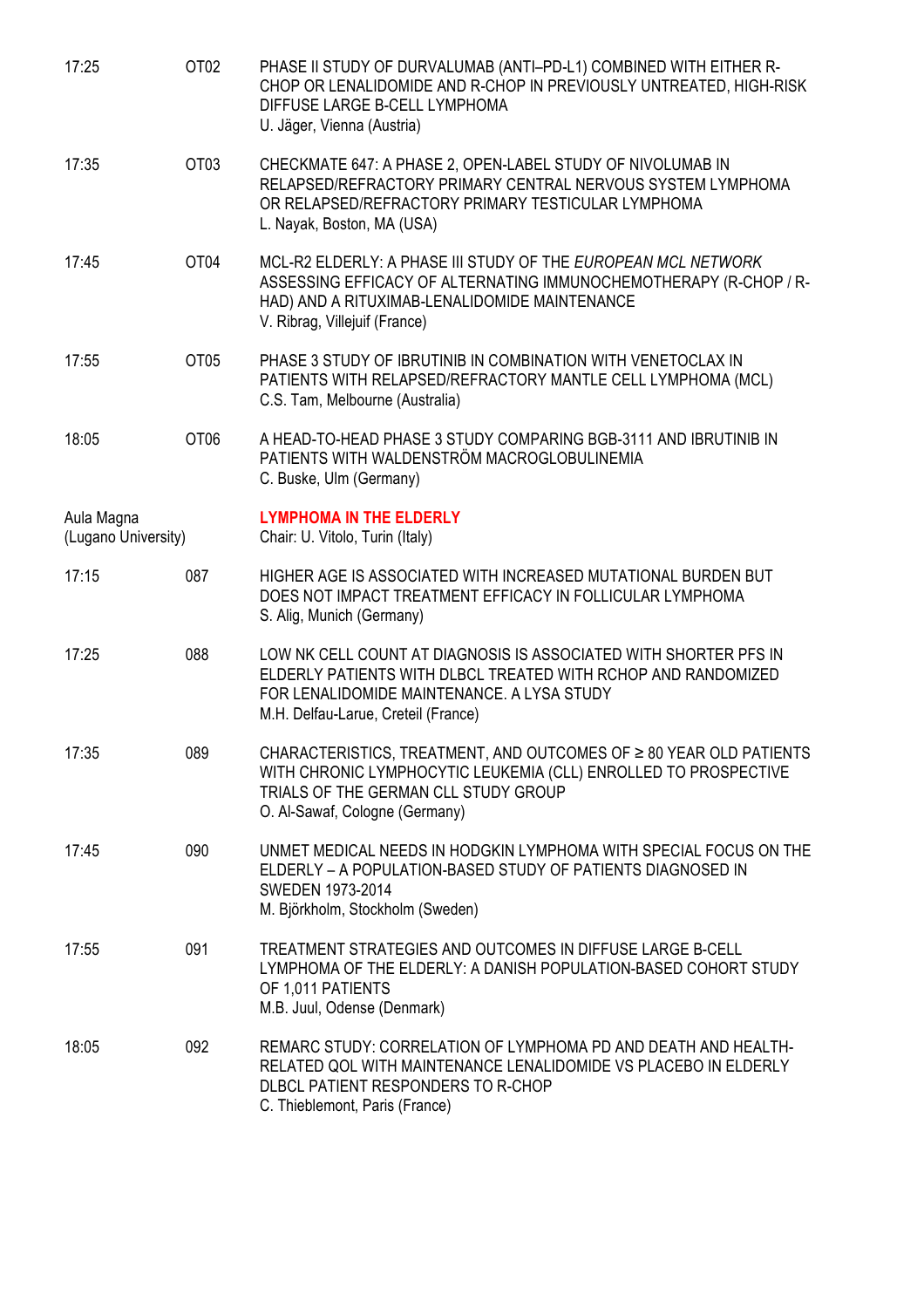| 17:25                             | OT <sub>02</sub> | PHASE II STUDY OF DURVALUMAB (ANTI-PD-L1) COMBINED WITH EITHER R-<br>CHOP OR LENALIDOMIDE AND R-CHOP IN PREVIOUSLY UNTREATED, HIGH-RISK<br>DIFFUSE LARGE B-CELL LYMPHOMA<br>U. Jäger, Vienna (Austria)                 |
|-----------------------------------|------------------|------------------------------------------------------------------------------------------------------------------------------------------------------------------------------------------------------------------------|
| 17:35                             | OT <sub>03</sub> | CHECKMATE 647: A PHASE 2, OPEN-LABEL STUDY OF NIVOLUMAB IN<br>RELAPSED/REFRACTORY PRIMARY CENTRAL NERVOUS SYSTEM LYMPHOMA<br>OR RELAPSED/REFRACTORY PRIMARY TESTICULAR LYMPHOMA<br>L. Nayak, Boston, MA (USA)          |
| 17:45                             | OT <sub>04</sub> | MCL-R2 ELDERLY: A PHASE III STUDY OF THE EUROPEAN MCL NETWORK<br>ASSESSING EFFICACY OF ALTERNATING IMMUNOCHEMOTHERAPY (R-CHOP / R-<br>HAD) AND A RITUXIMAB-LENALIDOMIDE MAINTENANCE<br>V. Ribrag, Villejuif (France)   |
| 17:55                             | OT <sub>05</sub> | PHASE 3 STUDY OF IBRUTINIB IN COMBINATION WITH VENETOCLAX IN<br>PATIENTS WITH RELAPSED/REFRACTORY MANTLE CELL LYMPHOMA (MCL)<br>C.S. Tam, Melbourne (Australia)                                                        |
| 18:05                             | OT <sub>06</sub> | A HEAD-TO-HEAD PHASE 3 STUDY COMPARING BGB-3111 AND IBRUTINIB IN<br>PATIENTS WITH WALDENSTRÖM MACROGLOBULINEMIA<br>C. Buske, Ulm (Germany)                                                                             |
| Aula Magna<br>(Lugano University) |                  | <b>LYMPHOMA IN THE ELDERLY</b><br>Chair: U. Vitolo, Turin (Italy)                                                                                                                                                      |
| 17:15                             | 087              | HIGHER AGE IS ASSOCIATED WITH INCREASED MUTATIONAL BURDEN BUT<br>DOES NOT IMPACT TREATMENT EFFICACY IN FOLLICULAR LYMPHOMA<br>S. Alig, Munich (Germany)                                                                |
| 17:25                             | 088              | LOW NK CELL COUNT AT DIAGNOSIS IS ASSOCIATED WITH SHORTER PFS IN<br>ELDERLY PATIENTS WITH DLBCL TREATED WITH RCHOP AND RANDOMIZED<br>FOR LENALIDOMIDE MAINTENANCE, A LYSA STUDY<br>M.H. Delfau-Larue, Creteil (France) |
| 17:35                             | 089              | CHARACTERISTICS, TREATMENT, AND OUTCOMES OF ≥ 80 YEAR OLD PATIENTS<br>WITH CHRONIC LYMPHOCYTIC LEUKEMIA (CLL) ENROLLED TO PROSPECTIVE<br>TRIALS OF THE GERMAN CLL STUDY GROUP<br>O. Al-Sawaf, Cologne (Germany)        |
| 17:45                             | 090              | UNMET MEDICAL NEEDS IN HODGKIN LYMPHOMA WITH SPECIAL FOCUS ON THE<br>ELDERLY - A POPULATION-BASED STUDY OF PATIENTS DIAGNOSED IN<br>SWEDEN 1973-2014<br>M. Björkholm, Stockholm (Sweden)                               |
| 17:55                             | 091              | TREATMENT STRATEGIES AND OUTCOMES IN DIFFUSE LARGE B-CELL<br>LYMPHOMA OF THE ELDERLY: A DANISH POPULATION-BASED COHORT STUDY<br>OF 1,011 PATIENTS<br>M.B. Juul, Odense (Denmark)                                       |
| 18:05                             | 092              | REMARC STUDY: CORRELATION OF LYMPHOMA PD AND DEATH AND HEALTH-<br>RELATED QOL WITH MAINTENANCE LENALIDOMIDE VS PLACEBO IN ELDERLY<br>DLBCL PATIENT RESPONDERS TO R-CHOP<br>C. Thieblemont, Paris (France)              |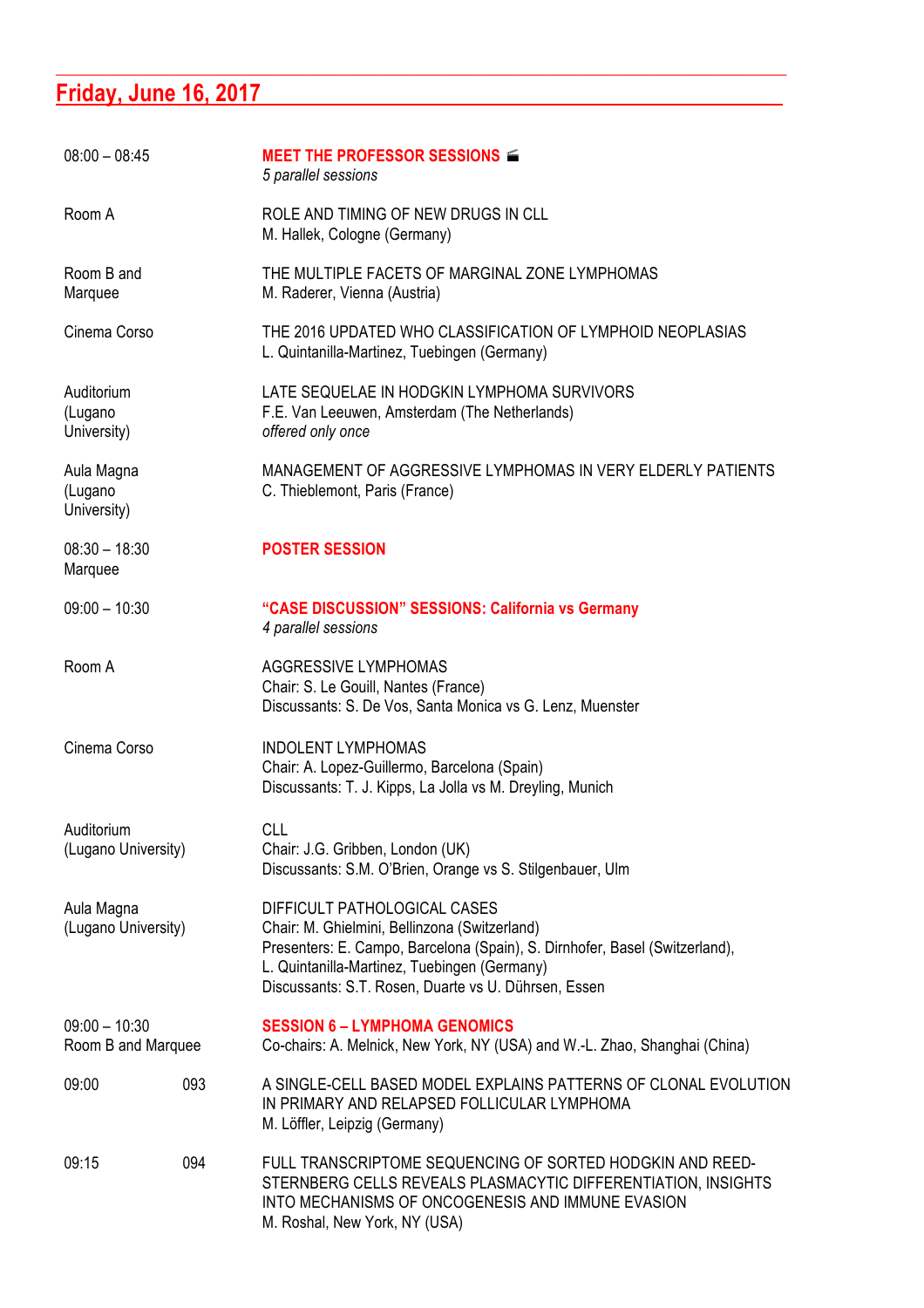# **Friday, June 16, 2017**

| $08:00 - 08:45$                       |     | <b>MEET THE PROFESSOR SESSIONS <math>\leq</math></b><br>5 parallel sessions                                                                                                                                                                                          |
|---------------------------------------|-----|----------------------------------------------------------------------------------------------------------------------------------------------------------------------------------------------------------------------------------------------------------------------|
| Room A                                |     | ROLE AND TIMING OF NEW DRUGS IN CLL<br>M. Hallek, Cologne (Germany)                                                                                                                                                                                                  |
| Room B and<br>Marquee                 |     | THE MULTIPLE FACETS OF MARGINAL ZONE LYMPHOMAS<br>M. Raderer, Vienna (Austria)                                                                                                                                                                                       |
| Cinema Corso                          |     | THE 2016 UPDATED WHO CLASSIFICATION OF LYMPHOID NEOPLASIAS<br>L. Quintanilla-Martinez, Tuebingen (Germany)                                                                                                                                                           |
| Auditorium<br>(Lugano<br>University)  |     | LATE SEQUELAE IN HODGKIN LYMPHOMA SURVIVORS<br>F.E. Van Leeuwen, Amsterdam (The Netherlands)<br>offered only once                                                                                                                                                    |
| Aula Magna<br>(Lugano<br>University)  |     | MANAGEMENT OF AGGRESSIVE LYMPHOMAS IN VERY ELDERLY PATIENTS<br>C. Thieblemont, Paris (France)                                                                                                                                                                        |
| $08:30 - 18:30$<br>Marquee            |     | <b>POSTER SESSION</b>                                                                                                                                                                                                                                                |
| $09:00 - 10:30$                       |     | "CASE DISCUSSION" SESSIONS: California vs Germany<br>4 parallel sessions                                                                                                                                                                                             |
| Room A                                |     | <b>AGGRESSIVE LYMPHOMAS</b><br>Chair: S. Le Gouill, Nantes (France)<br>Discussants: S. De Vos, Santa Monica vs G. Lenz, Muenster                                                                                                                                     |
| Cinema Corso                          |     | <b>INDOLENT LYMPHOMAS</b><br>Chair: A. Lopez-Guillermo, Barcelona (Spain)<br>Discussants: T. J. Kipps, La Jolla vs M. Dreyling, Munich                                                                                                                               |
| Auditorium<br>(Lugano University)     |     | <b>CLL</b><br>Chair: J.G. Gribben, London (UK)<br>Discussants: S.M. O'Brien, Orange vs S. Stilgenbauer, Ulm                                                                                                                                                          |
| Aula Magna<br>(Lugano University)     |     | DIFFICULT PATHOLOGICAL CASES<br>Chair: M. Ghielmini, Bellinzona (Switzerland)<br>Presenters: E. Campo, Barcelona (Spain), S. Dirnhofer, Basel (Switzerland),<br>L. Quintanilla-Martinez, Tuebingen (Germany)<br>Discussants: S.T. Rosen, Duarte vs U. Dührsen, Essen |
| $09:00 - 10:30$<br>Room B and Marquee |     | <b>SESSION 6 - LYMPHOMA GENOMICS</b><br>Co-chairs: A. Melnick, New York, NY (USA) and W.-L. Zhao, Shanghai (China)                                                                                                                                                   |
| 09:00                                 | 093 | A SINGLE-CELL BASED MODEL EXPLAINS PATTERNS OF CLONAL EVOLUTION<br>IN PRIMARY AND RELAPSED FOLLICULAR LYMPHOMA<br>M. Löffler, Leipzig (Germany)                                                                                                                      |
| 09:15                                 | 094 | FULL TRANSCRIPTOME SEQUENCING OF SORTED HODGKIN AND REED-<br>STERNBERG CELLS REVEALS PLASMACYTIC DIFFERENTIATION, INSIGHTS<br>INTO MECHANISMS OF ONCOGENESIS AND IMMUNE EVASION<br>M. Roshal, New York, NY (USA)                                                     |

**\_\_\_\_\_\_\_\_\_\_\_\_\_\_\_\_\_\_\_\_\_\_\_\_\_\_\_\_\_\_\_\_\_\_\_\_\_\_\_\_\_\_\_\_\_\_\_\_\_\_\_\_\_\_\_\_\_\_\_\_\_\_\_\_\_\_\_\_\_\_\_\_\_\_\_\_\_\_\_\_\_\_\_\_\_\_**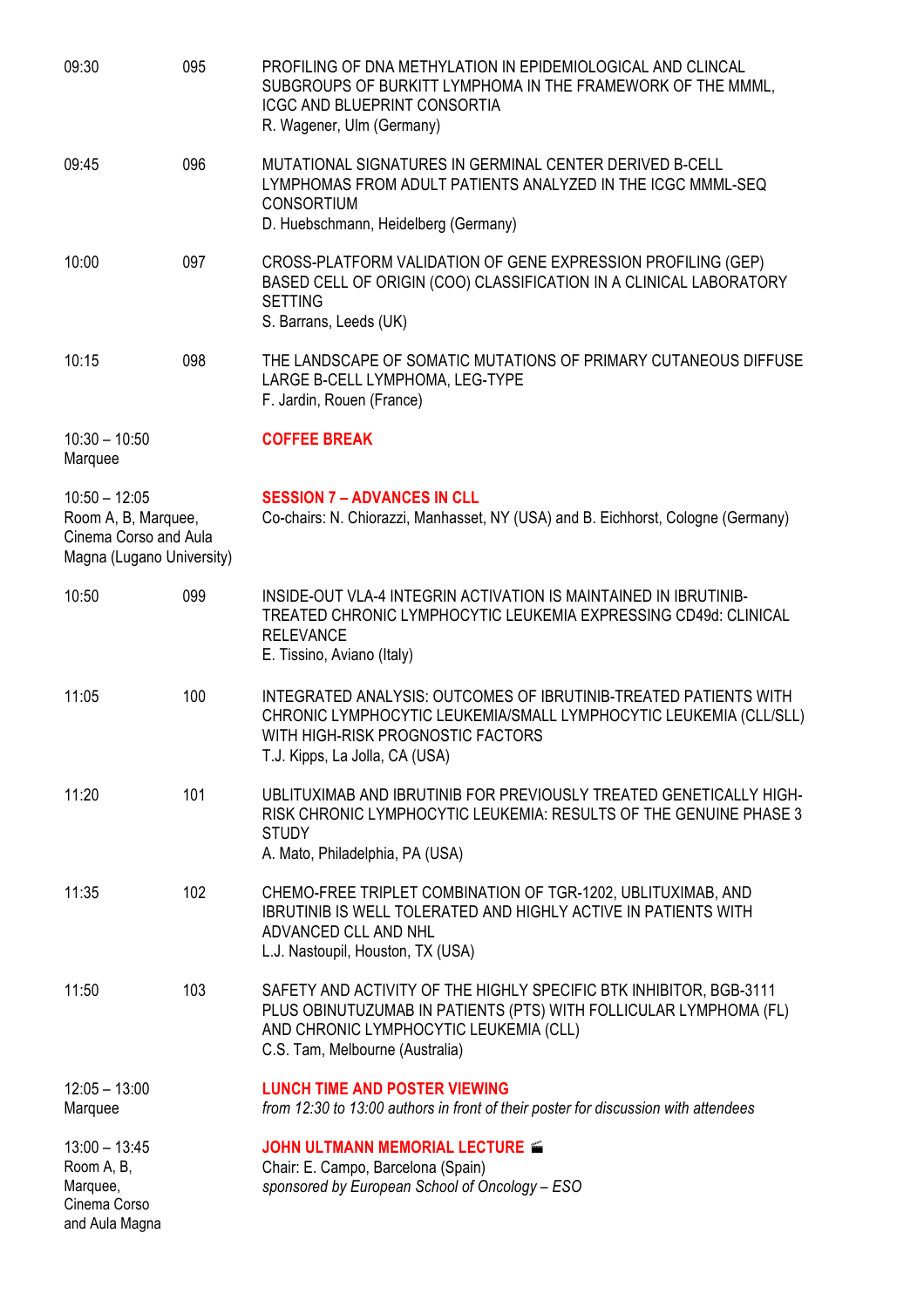| 09:30                                                                                        | 095 | PROFILING OF DNA METHYLATION IN EPIDEMIOLOGICAL AND CLINCAL<br>SUBGROUPS OF BURKITT LYMPHOMA IN THE FRAMEWORK OF THE MMML,<br><b>ICGC AND BLUEPRINT CONSORTIA</b><br>R. Wagener, Ulm (Germany)                       |
|----------------------------------------------------------------------------------------------|-----|----------------------------------------------------------------------------------------------------------------------------------------------------------------------------------------------------------------------|
| 09:45                                                                                        | 096 | MUTATIONAL SIGNATURES IN GERMINAL CENTER DERIVED B-CELL<br>LYMPHOMAS FROM ADULT PATIENTS ANALYZED IN THE ICGC MMML-SEQ<br><b>CONSORTIUM</b><br>D. Huebschmann, Heidelberg (Germany)                                  |
| 10:00                                                                                        | 097 | CROSS-PLATFORM VALIDATION OF GENE EXPRESSION PROFILING (GEP)<br>BASED CELL OF ORIGIN (COO) CLASSIFICATION IN A CLINICAL LABORATORY<br><b>SETTING</b><br>S. Barrans, Leeds (UK)                                       |
| 10:15                                                                                        | 098 | THE LANDSCAPE OF SOMATIC MUTATIONS OF PRIMARY CUTANEOUS DIFFUSE<br>LARGE B-CELL LYMPHOMA, LEG-TYPE<br>F. Jardin, Rouen (France)                                                                                      |
| $10:30 - 10:50$<br>Marquee                                                                   |     | <b>COFFEE BREAK</b>                                                                                                                                                                                                  |
| $10:50 - 12:05$<br>Room A, B, Marquee,<br>Cinema Corso and Aula<br>Magna (Lugano University) |     | <b>SESSION 7 - ADVANCES IN CLL</b><br>Co-chairs: N. Chiorazzi, Manhasset, NY (USA) and B. Eichhorst, Cologne (Germany)                                                                                               |
| 10:50                                                                                        | 099 | INSIDE-OUT VLA-4 INTEGRIN ACTIVATION IS MAINTAINED IN IBRUTINIB-<br>TREATED CHRONIC LYMPHOCYTIC LEUKEMIA EXPRESSING CD49d: CLINICAL<br><b>RELEVANCE</b><br>E. Tissino, Aviano (Italy)                                |
| 11:05                                                                                        | 100 | INTEGRATED ANALYSIS: OUTCOMES OF IBRUTINIB-TREATED PATIENTS WITH<br>CHRONIC LYMPHOCYTIC LEUKEMIA/SMALL LYMPHOCYTIC LEUKEMIA (CLL/SLL)<br>WITH HIGH-RISK PROGNOSTIC FACTORS<br>T.J. Kipps, La Jolla, CA (USA)         |
| 11:20                                                                                        | 101 | UBLITUXIMAB AND IBRUTINIB FOR PREVIOUSLY TREATED GENETICALLY HIGH-<br>RISK CHRONIC LYMPHOCYTIC LEUKEMIA: RESULTS OF THE GENUINE PHASE 3<br><b>STUDY</b><br>A. Mato, Philadelphia, PA (USA)                           |
| 11:35                                                                                        | 102 | CHEMO-FREE TRIPLET COMBINATION OF TGR-1202, UBLITUXIMAB, AND<br>IBRUTINIB IS WELL TOLERATED AND HIGHLY ACTIVE IN PATIENTS WITH<br>ADVANCED CLL AND NHL<br>L.J. Nastoupil, Houston, TX (USA)                          |
| 11:50                                                                                        | 103 | SAFETY AND ACTIVITY OF THE HIGHLY SPECIFIC BTK INHIBITOR, BGB-3111<br>PLUS OBINUTUZUMAB IN PATIENTS (PTS) WITH FOLLICULAR LYMPHOMA (FL)<br>AND CHRONIC LYMPHOCYTIC LEUKEMIA (CLL)<br>C.S. Tam, Melbourne (Australia) |
| $12:05 - 13:00$<br>Marquee                                                                   |     | <b>LUNCH TIME AND POSTER VIEWING</b><br>from 12:30 to 13:00 authors in front of their poster for discussion with attendees                                                                                           |
| $13:00 - 13:45$<br>Room A, B,<br>Marquee,<br>Cinema Corso<br>and Aula Magna                  |     | <b>JOHN ULTMANN MEMORIAL LECTURE <math>\leq</math></b><br>Chair: E. Campo, Barcelona (Spain)<br>sponsored by European School of Oncology - ESO                                                                       |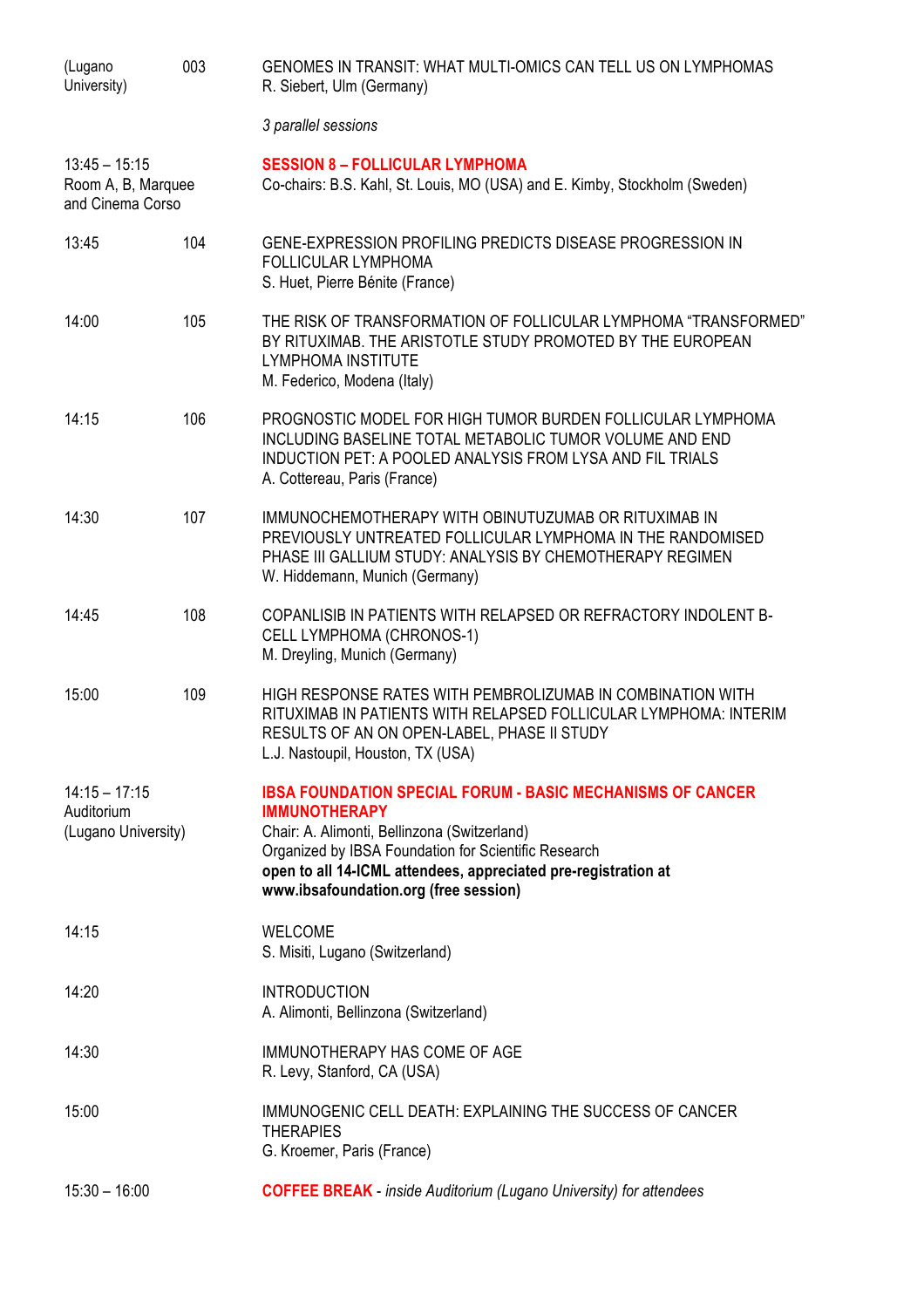| (Lugano<br>University)                                    | 003 | GENOMES IN TRANSIT: WHAT MULTI-OMICS CAN TELL US ON LYMPHOMAS<br>R. Siebert, Ulm (Germany)                                                                                                                                                                                                                   |
|-----------------------------------------------------------|-----|--------------------------------------------------------------------------------------------------------------------------------------------------------------------------------------------------------------------------------------------------------------------------------------------------------------|
|                                                           |     | 3 parallel sessions                                                                                                                                                                                                                                                                                          |
| $13:45 - 15:15$<br>Room A, B, Marquee<br>and Cinema Corso |     | <b>SESSION 8 - FOLLICULAR LYMPHOMA</b><br>Co-chairs: B.S. Kahl, St. Louis, MO (USA) and E. Kimby, Stockholm (Sweden)                                                                                                                                                                                         |
| 13:45                                                     | 104 | GENE-EXPRESSION PROFILING PREDICTS DISEASE PROGRESSION IN<br><b>FOLLICULAR LYMPHOMA</b><br>S. Huet, Pierre Bénite (France)                                                                                                                                                                                   |
| 14:00                                                     | 105 | THE RISK OF TRANSFORMATION OF FOLLICULAR LYMPHOMA "TRANSFORMED"<br>BY RITUXIMAB. THE ARISTOTLE STUDY PROMOTED BY THE EUROPEAN<br><b>LYMPHOMA INSTITUTE</b><br>M. Federico, Modena (Italy)                                                                                                                    |
| 14:15                                                     | 106 | PROGNOSTIC MODEL FOR HIGH TUMOR BURDEN FOLLICULAR LYMPHOMA<br>INCLUDING BASELINE TOTAL METABOLIC TUMOR VOLUME AND END<br>INDUCTION PET: A POOLED ANALYSIS FROM LYSA AND FIL TRIALS<br>A. Cottereau, Paris (France)                                                                                           |
| 14:30                                                     | 107 | IMMUNOCHEMOTHERAPY WITH OBINUTUZUMAB OR RITUXIMAB IN<br>PREVIOUSLY UNTREATED FOLLICULAR LYMPHOMA IN THE RANDOMISED<br>PHASE III GALLIUM STUDY: ANALYSIS BY CHEMOTHERAPY REGIMEN<br>W. Hiddemann, Munich (Germany)                                                                                            |
| 14:45                                                     | 108 | COPANLISIB IN PATIENTS WITH RELAPSED OR REFRACTORY INDOLENT B-<br><b>CELL LYMPHOMA (CHRONOS-1)</b><br>M. Dreyling, Munich (Germany)                                                                                                                                                                          |
| 15:00                                                     | 109 | HIGH RESPONSE RATES WITH PEMBROLIZUMAB IN COMBINATION WITH<br>RITUXIMAB IN PATIENTS WITH RELAPSED FOLLICULAR LYMPHOMA: INTERIM<br>RESULTS OF AN ON OPEN-LABEL, PHASE II STUDY<br>L.J. Nastoupil, Houston, TX (USA)                                                                                           |
| $14:15 - 17:15$<br>Auditorium<br>(Lugano University)      |     | <b>IBSA FOUNDATION SPECIAL FORUM - BASIC MECHANISMS OF CANCER</b><br><b>IMMUNOTHERAPY</b><br>Chair: A. Alimonti, Bellinzona (Switzerland)<br>Organized by IBSA Foundation for Scientific Research<br>open to all 14-ICML attendees, appreciated pre-registration at<br>www.ibsafoundation.org (free session) |
| 14:15                                                     |     | <b>WELCOME</b><br>S. Misiti, Lugano (Switzerland)                                                                                                                                                                                                                                                            |
| 14:20                                                     |     | <b>INTRODUCTION</b><br>A. Alimonti, Bellinzona (Switzerland)                                                                                                                                                                                                                                                 |
| 14:30                                                     |     | IMMUNOTHERAPY HAS COME OF AGE<br>R. Levy, Stanford, CA (USA)                                                                                                                                                                                                                                                 |
| 15:00                                                     |     | IMMUNOGENIC CELL DEATH: EXPLAINING THE SUCCESS OF CANCER<br><b>THERAPIES</b><br>G. Kroemer, Paris (France)                                                                                                                                                                                                   |
| $15:30 - 16:00$                                           |     | <b>COFFEE BREAK</b> - inside Auditorium (Lugano University) for attendees                                                                                                                                                                                                                                    |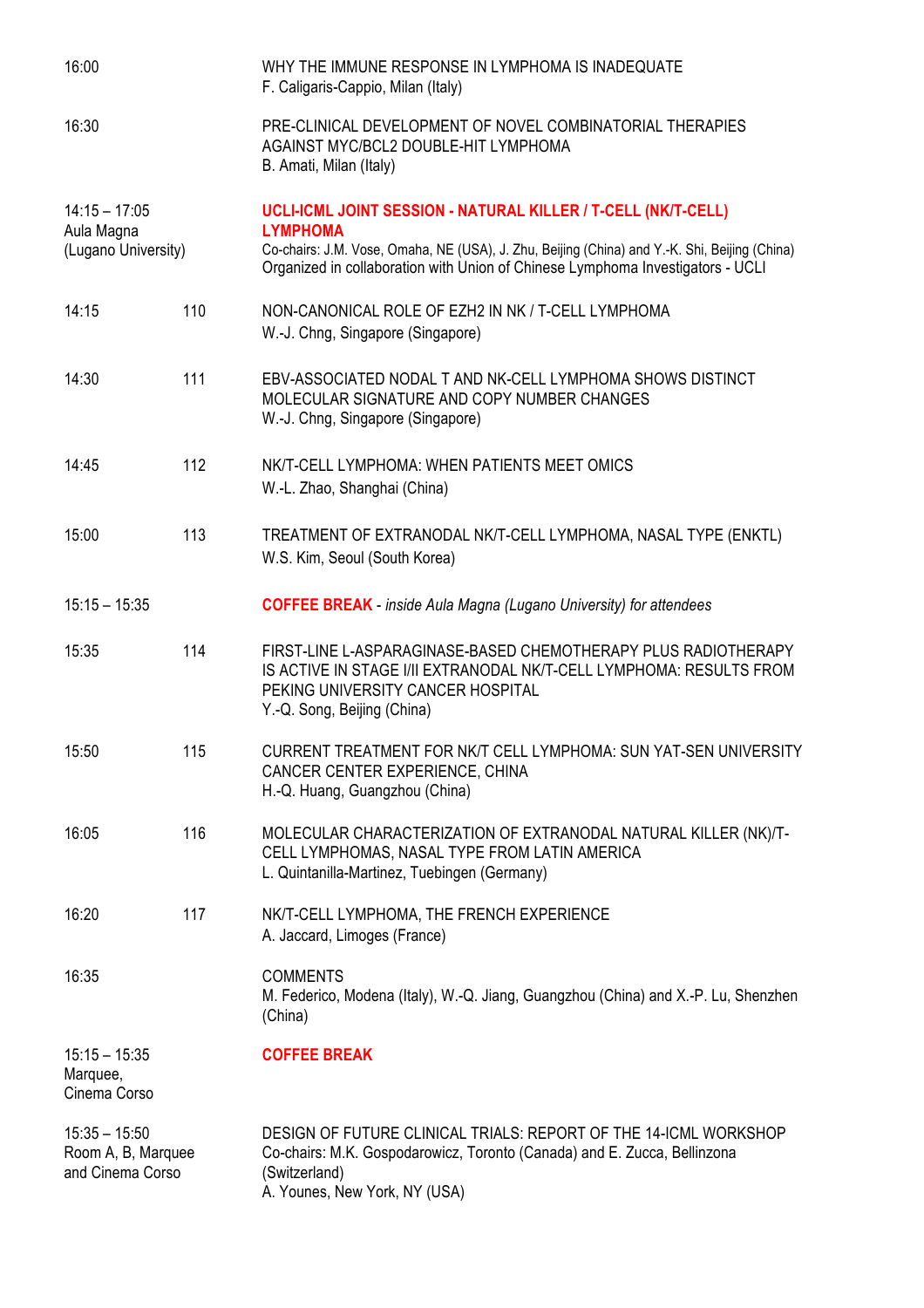| 16:00                                                     |     | WHY THE IMMUNE RESPONSE IN LYMPHOMA IS INADEQUATE<br>F. Caligaris-Cappio, Milan (Italy)                                                                                                                                                                             |
|-----------------------------------------------------------|-----|---------------------------------------------------------------------------------------------------------------------------------------------------------------------------------------------------------------------------------------------------------------------|
| 16:30                                                     |     | PRE-CLINICAL DEVELOPMENT OF NOVEL COMBINATORIAL THERAPIES<br>AGAINST MYC/BCL2 DOUBLE-HIT LYMPHOMA<br>B. Amati, Milan (Italy)                                                                                                                                        |
| $14:15 - 17:05$<br>Aula Magna<br>(Lugano University)      |     | UCLI-ICML JOINT SESSION - NATURAL KILLER / T-CELL (NK/T-CELL)<br><b>LYMPHOMA</b><br>Co-chairs: J.M. Vose, Omaha, NE (USA), J. Zhu, Beijing (China) and Y.-K. Shi, Beijing (China)<br>Organized in collaboration with Union of Chinese Lymphoma Investigators - UCLI |
| 14:15                                                     | 110 | NON-CANONICAL ROLE OF EZH2 IN NK / T-CELL LYMPHOMA<br>W.-J. Chng, Singapore (Singapore)                                                                                                                                                                             |
| 14:30                                                     | 111 | EBV-ASSOCIATED NODAL T AND NK-CELL LYMPHOMA SHOWS DISTINCT<br>MOLECULAR SIGNATURE AND COPY NUMBER CHANGES<br>W.-J. Chng, Singapore (Singapore)                                                                                                                      |
| 14:45                                                     | 112 | NK/T-CELL LYMPHOMA: WHEN PATIENTS MEET OMICS<br>W.-L. Zhao, Shanghai (China)                                                                                                                                                                                        |
| 15:00                                                     | 113 | TREATMENT OF EXTRANODAL NK/T-CELL LYMPHOMA, NASAL TYPE (ENKTL)<br>W.S. Kim, Seoul (South Korea)                                                                                                                                                                     |
| $15:15 - 15:35$                                           |     | <b>COFFEE BREAK</b> - inside Aula Magna (Lugano University) for attendees                                                                                                                                                                                           |
| 15:35                                                     | 114 | FIRST-LINE L-ASPARAGINASE-BASED CHEMOTHERAPY PLUS RADIOTHERAPY<br>IS ACTIVE IN STAGE I/II EXTRANODAL NK/T-CELL LYMPHOMA: RESULTS FROM<br>PEKING UNIVERSITY CANCER HOSPITAL<br>Y.-Q. Song, Beijing (China)                                                           |
| 15:50                                                     | 115 | CURRENT TREATMENT FOR NK/T CELL LYMPHOMA: SUN YAT-SEN UNIVERSITY<br>CANCER CENTER EXPERIENCE, CHINA<br>H.-Q. Huang, Guangzhou (China)                                                                                                                               |
| 16:05                                                     | 116 | MOLECULAR CHARACTERIZATION OF EXTRANODAL NATURAL KILLER (NK)/T-<br>CELL LYMPHOMAS, NASAL TYPE FROM LATIN AMERICA<br>L. Quintanilla-Martinez, Tuebingen (Germany)                                                                                                    |
| 16:20                                                     | 117 | NK/T-CELL LYMPHOMA, THE FRENCH EXPERIENCE<br>A. Jaccard, Limoges (France)                                                                                                                                                                                           |
| 16:35                                                     |     | <b>COMMENTS</b><br>M. Federico, Modena (Italy), W.-Q. Jiang, Guangzhou (China) and X.-P. Lu, Shenzhen<br>(China)                                                                                                                                                    |
| $15:15 - 15:35$<br>Marquee,<br>Cinema Corso               |     | <b>COFFEE BREAK</b>                                                                                                                                                                                                                                                 |
| $15:35 - 15:50$<br>Room A, B, Marquee<br>and Cinema Corso |     | DESIGN OF FUTURE CLINICAL TRIALS: REPORT OF THE 14-ICML WORKSHOP<br>Co-chairs: M.K. Gospodarowicz, Toronto (Canada) and E. Zucca, Bellinzona<br>(Switzerland)<br>A. Younes, New York, NY (USA)                                                                      |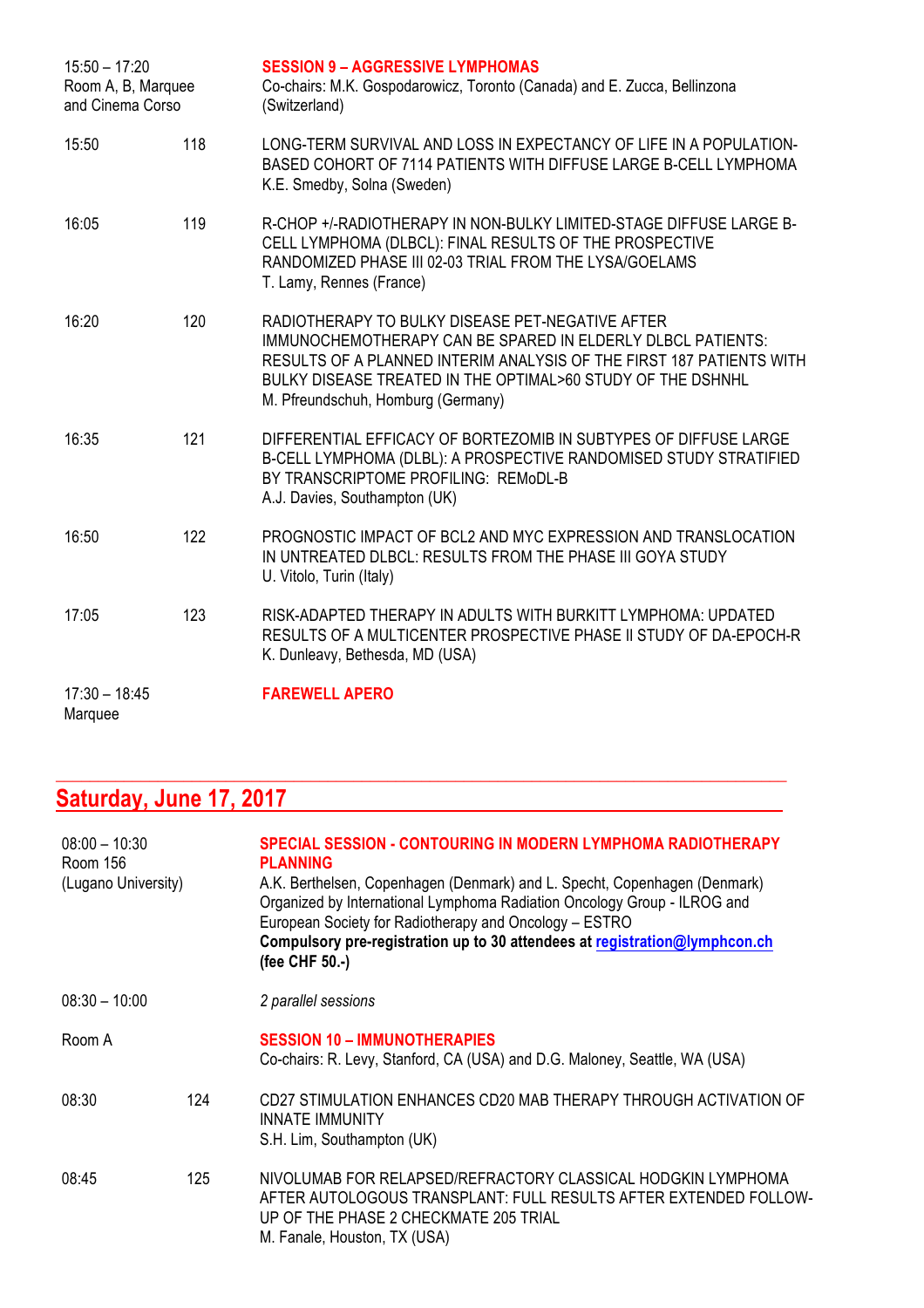| $15:50 - 17:20$<br>Room A, B, Marquee<br>and Cinema Corso |     | <b>SESSION 9 - AGGRESSIVE LYMPHOMAS</b><br>Co-chairs: M.K. Gospodarowicz, Toronto (Canada) and E. Zucca, Bellinzona<br>(Switzerland)                                                                                                                                                         |
|-----------------------------------------------------------|-----|----------------------------------------------------------------------------------------------------------------------------------------------------------------------------------------------------------------------------------------------------------------------------------------------|
| 15:50                                                     | 118 | LONG-TERM SURVIVAL AND LOSS IN EXPECTANCY OF LIFE IN A POPULATION-<br>BASED COHORT OF 7114 PATIENTS WITH DIFFUSE LARGE B-CELL LYMPHOMA<br>K.E. Smedby, Solna (Sweden)                                                                                                                        |
| 16:05                                                     | 119 | R-CHOP +/-RADIOTHERAPY IN NON-BULKY LIMITED-STAGE DIFFUSE LARGE B-<br>CELL LYMPHOMA (DLBCL): FINAL RESULTS OF THE PROSPECTIVE<br>RANDOMIZED PHASE III 02-03 TRIAL FROM THE LYSA/GOELAMS<br>T. Lamy, Rennes (France)                                                                          |
| 16:20                                                     | 120 | RADIOTHERAPY TO BULKY DISEASE PET-NEGATIVE AFTER<br>IMMUNOCHEMOTHERAPY CAN BE SPARED IN ELDERLY DLBCL PATIENTS:<br>RESULTS OF A PLANNED INTERIM ANALYSIS OF THE FIRST 187 PATIENTS WITH<br>BULKY DISEASE TREATED IN THE OPTIMAL>60 STUDY OF THE DSHNHL<br>M. Pfreundschuh, Homburg (Germany) |
| 16:35                                                     | 121 | DIFFERENTIAL EFFICACY OF BORTEZOMIB IN SUBTYPES OF DIFFUSE LARGE<br>B-CELL LYMPHOMA (DLBL): A PROSPECTIVE RANDOMISED STUDY STRATIFIED<br>BY TRANSCRIPTOME PROFILING: REMoDL-B<br>A.J. Davies, Southampton (UK)                                                                               |
| 16:50                                                     | 122 | PROGNOSTIC IMPACT OF BCL2 AND MYC EXPRESSION AND TRANSLOCATION<br>IN UNTREATED DLBCL: RESULTS FROM THE PHASE III GOYA STUDY<br>U. Vitolo, Turin (Italy)                                                                                                                                      |
| 17:05                                                     | 123 | RISK-ADAPTED THERAPY IN ADULTS WITH BURKITT LYMPHOMA: UPDATED<br>RESULTS OF A MULTICENTER PROSPECTIVE PHASE II STUDY OF DA-EPOCH-R<br>K. Dunleavy, Bethesda, MD (USA)                                                                                                                        |
| $17:30 - 18:45$<br>Marquee                                |     | <b>FAREWELL APERO</b>                                                                                                                                                                                                                                                                        |

# **Saturday, June 17, 2017**

| $08:00 - 10:30$<br>Room 156<br>(Lugano University) |     | <b>SPECIAL SESSION - CONTOURING IN MODERN LYMPHOMA RADIOTHERAPY</b><br><b>PLANNING</b><br>A.K. Berthelsen, Copenhagen (Denmark) and L. Specht, Copenhagen (Denmark)<br>Organized by International Lymphoma Radiation Oncology Group - ILROG and<br>European Society for Radiotherapy and Oncology - ESTRO<br>Compulsory pre-registration up to 30 attendees at registration@lymphcon.ch<br>(fee CHF 50.-) |  |
|----------------------------------------------------|-----|-----------------------------------------------------------------------------------------------------------------------------------------------------------------------------------------------------------------------------------------------------------------------------------------------------------------------------------------------------------------------------------------------------------|--|
| $08:30 - 10:00$                                    |     | 2 parallel sessions                                                                                                                                                                                                                                                                                                                                                                                       |  |
| Room A                                             |     | <b>SESSION 10 - IMMUNOTHERAPIES</b><br>Co-chairs: R. Levy, Stanford, CA (USA) and D.G. Maloney, Seattle, WA (USA)                                                                                                                                                                                                                                                                                         |  |
| 08:30                                              | 124 | CD27 STIMULATION ENHANCES CD20 MAB THERAPY THROUGH ACTIVATION OF<br><b>INNATE IMMUNITY</b><br>S.H. Lim, Southampton (UK)                                                                                                                                                                                                                                                                                  |  |
| 08:45                                              | 125 | NIVOLUMAB FOR RELAPSED/REFRACTORY CLASSICAL HODGKIN LYMPHOMA<br>AFTER AUTOLOGOUS TRANSPLANT: FULL RESULTS AFTER EXTENDED FOLLOW-<br>UP OF THE PHASE 2 CHECKMATE 205 TRIAL<br>M. Fanale, Houston, TX (USA)                                                                                                                                                                                                 |  |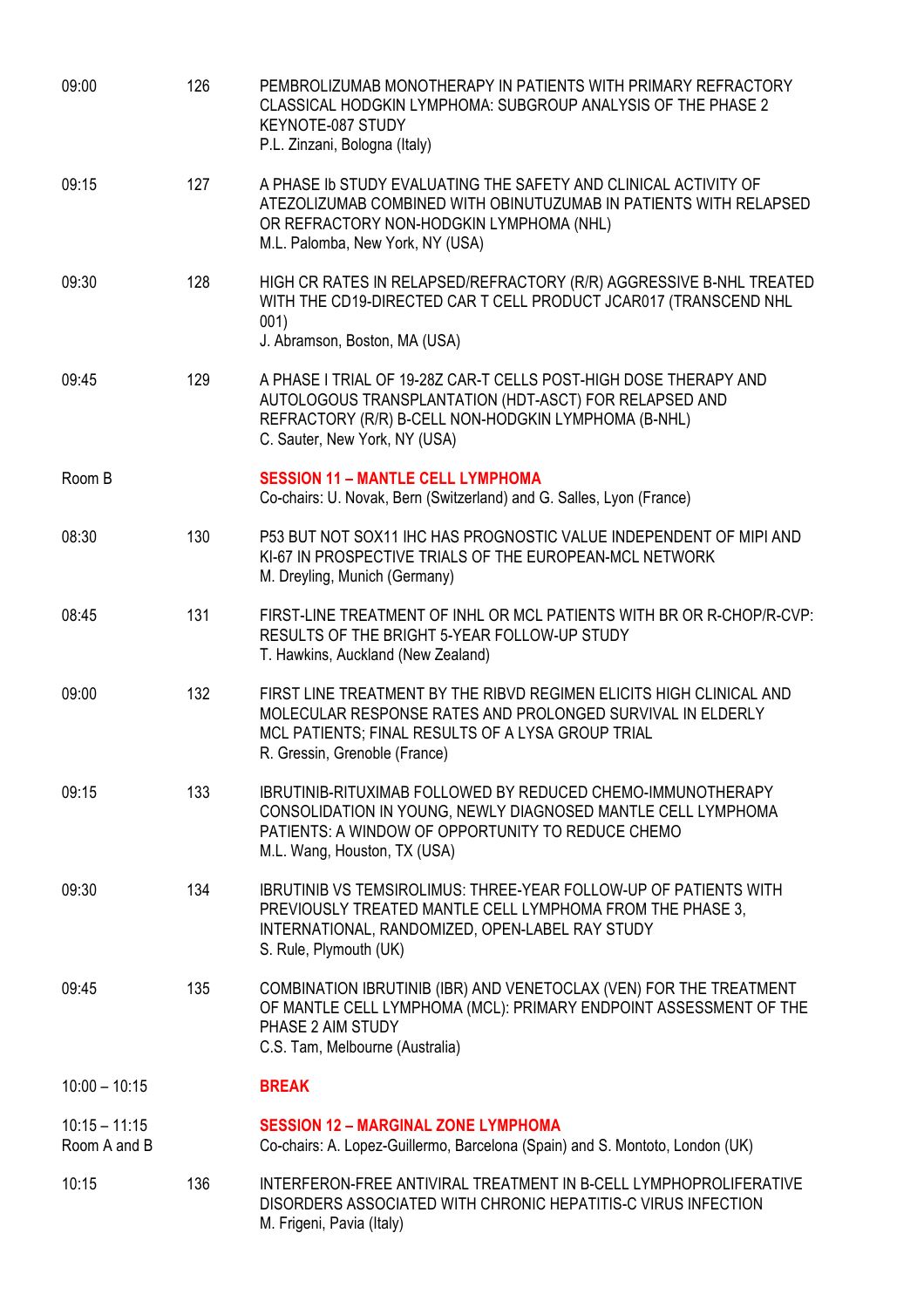| 09:00                           | 126 | PEMBROLIZUMAB MONOTHERAPY IN PATIENTS WITH PRIMARY REFRACTORY<br>CLASSICAL HODGKIN LYMPHOMA: SUBGROUP ANALYSIS OF THE PHASE 2<br>KEYNOTE-087 STUDY<br>P.L. Zinzani, Bologna (Italy)                                     |
|---------------------------------|-----|-------------------------------------------------------------------------------------------------------------------------------------------------------------------------------------------------------------------------|
| 09:15                           | 127 | A PHASE ID STUDY EVALUATING THE SAFETY AND CLINICAL ACTIVITY OF<br>ATEZOLIZUMAB COMBINED WITH OBINUTUZUMAB IN PATIENTS WITH RELAPSED<br>OR REFRACTORY NON-HODGKIN LYMPHOMA (NHL)<br>M.L. Palomba, New York, NY (USA)    |
| 09:30                           | 128 | HIGH CR RATES IN RELAPSED/REFRACTORY (R/R) AGGRESSIVE B-NHL TREATED<br>WITH THE CD19-DIRECTED CAR T CELL PRODUCT JCAR017 (TRANSCEND NHL<br>001)<br>J. Abramson, Boston, MA (USA)                                        |
| 09:45                           | 129 | A PHASE I TRIAL OF 19-28Z CAR-T CELLS POST-HIGH DOSE THERAPY AND<br>AUTOLOGOUS TRANSPLANTATION (HDT-ASCT) FOR RELAPSED AND<br>REFRACTORY (R/R) B-CELL NON-HODGKIN LYMPHOMA (B-NHL)<br>C. Sauter, New York, NY (USA)     |
| Room B                          |     | <b>SESSION 11 - MANTLE CELL LYMPHOMA</b><br>Co-chairs: U. Novak, Bern (Switzerland) and G. Salles, Lyon (France)                                                                                                        |
| 08:30                           | 130 | P53 BUT NOT SOX11 IHC HAS PROGNOSTIC VALUE INDEPENDENT OF MIPI AND<br>KI-67 IN PROSPECTIVE TRIALS OF THE EUROPEAN-MCL NETWORK<br>M. Dreyling, Munich (Germany)                                                          |
| 08:45                           | 131 | FIRST-LINE TREATMENT OF INHL OR MCL PATIENTS WITH BR OR R-CHOP/R-CVP:<br>RESULTS OF THE BRIGHT 5-YEAR FOLLOW-UP STUDY<br>T. Hawkins, Auckland (New Zealand)                                                             |
| 09:00                           | 132 | FIRST LINE TREATMENT BY THE RIBVD REGIMEN ELICITS HIGH CLINICAL AND<br>MOLECULAR RESPONSE RATES AND PROLONGED SURVIVAL IN ELDERLY<br>MCL PATIENTS; FINAL RESULTS OF A LYSA GROUP TRIAL<br>R. Gressin, Grenoble (France) |
| 09:15                           | 133 | <b>IBRUTINIB-RITUXIMAB FOLLOWED BY REDUCED CHEMO-IMMUNOTHERAPY</b><br>CONSOLIDATION IN YOUNG, NEWLY DIAGNOSED MANTLE CELL LYMPHOMA<br>PATIENTS: A WINDOW OF OPPORTUNITY TO REDUCE CHEMO<br>M.L. Wang, Houston, TX (USA) |
| 09:30                           | 134 | <b>IBRUTINIB VS TEMSIROLIMUS: THREE-YEAR FOLLOW-UP OF PATIENTS WITH</b><br>PREVIOUSLY TREATED MANTLE CELL LYMPHOMA FROM THE PHASE 3,<br>INTERNATIONAL, RANDOMIZED, OPEN-LABEL RAY STUDY<br>S. Rule, Plymouth (UK)       |
| 09:45                           | 135 | COMBINATION IBRUTINIB (IBR) AND VENETOCLAX (VEN) FOR THE TREATMENT<br>OF MANTLE CELL LYMPHOMA (MCL): PRIMARY ENDPOINT ASSESSMENT OF THE<br>PHASE 2 AIM STUDY<br>C.S. Tam, Melbourne (Australia)                         |
| $10:00 - 10:15$                 |     | <b>BREAK</b>                                                                                                                                                                                                            |
| $10:15 - 11:15$<br>Room A and B |     | <b>SESSION 12 - MARGINAL ZONE LYMPHOMA</b><br>Co-chairs: A. Lopez-Guillermo, Barcelona (Spain) and S. Montoto, London (UK)                                                                                              |
| 10:15                           | 136 | INTERFERON-FREE ANTIVIRAL TREATMENT IN B-CELL LYMPHOPROLIFERATIVE<br>DISORDERS ASSOCIATED WITH CHRONIC HEPATITIS-C VIRUS INFECTION<br>M. Frigeni, Pavia (Italy)                                                         |